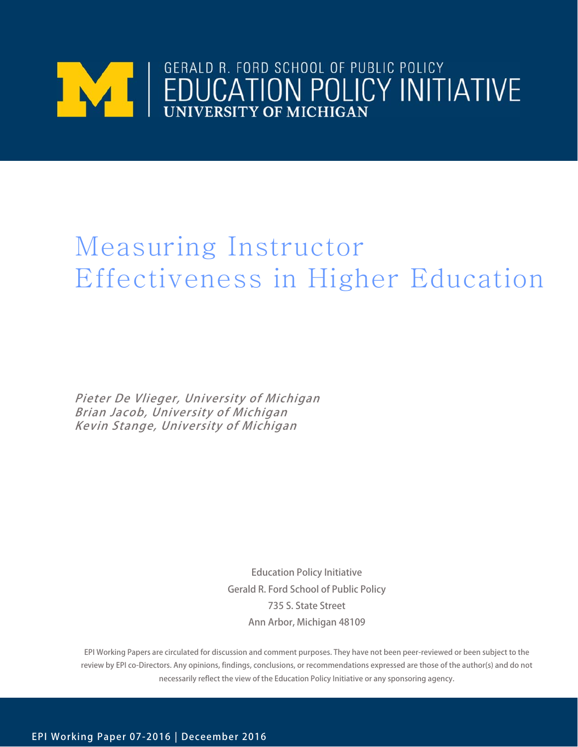

# Measuring Instructor Effectiveness in Higher Education

Pieter De Vlieger, University of Michigan Brian Jacob, University of Michigan Kevin Stange, University of Michigan

> Education Policy Initiative Gerald R. Ford School of Public Policy 735 S. State Street Ann Arbor, Michigan 48109

EPI Working Papers are circulated for discussion and comment purposes. They have not been peer-reviewed or been subject to the review by EPI co-Directors. Any opinions, findings, conclusions, or recommendations expressed are those of the author(s) and do not necessarily reflect the view of the Education Policy Initiative or any sponsoring agency.

EPI Working Paper 07-2016 | Deceember 2016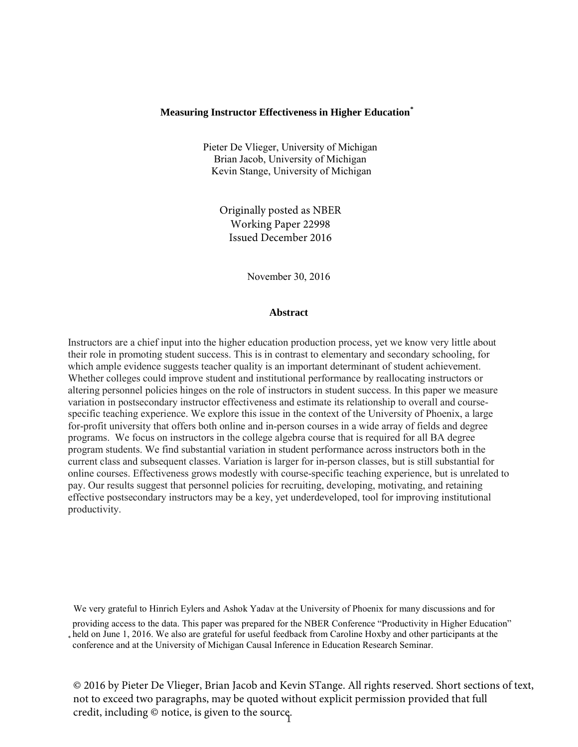## **Measuring Instructor Effectiveness in Higher Education\***

Pieter De Vlieger, University of Michigan Brian Jacob, University of Michigan Kevin Stange, University of Michigan

Originally posted as NBER Working Paper 22998 Issued December 2016

November 30, 2016

#### **Abstract**

Instructors are a chief input into the higher education production process, yet we know very little about their role in promoting student success. This is in contrast to elementary and secondary schooling, for which ample evidence suggests teacher quality is an important determinant of student achievement. Whether colleges could improve student and institutional performance by reallocating instructors or altering personnel policies hinges on the role of instructors in student success. In this paper we measure variation in postsecondary instructor effectiveness and estimate its relationship to overall and coursespecific teaching experience. We explore this issue in the context of the University of Phoenix, a large for-profit university that offers both online and in-person courses in a wide array of fields and degree programs. We focus on instructors in the college algebra course that is required for all BA degree program students. We find substantial variation in student performance across instructors both in the current class and subsequent classes. Variation is larger for in-person classes, but is still substantial for online courses. Effectiveness grows modestly with course-specific teaching experience, but is unrelated to pay. Our results suggest that personnel policies for recruiting, developing, motivating, and retaining effective postsecondary instructors may be a key, yet underdeveloped, tool for improving institutional productivity.

We very grateful to Hinrich Eylers and Ashok Yadav at the University of Phoenix for many discussions and for

\* held on June 1, 2016. We also are grateful for useful feedback from Caroline Hoxby and other participants at the providing access to the data. This paper was prepared for the NBER Conference "Productivity in Higher Education" conference and at the University of Michigan Causal Inference in Education Research Seminar.

credit, including © notice, is given to the source. © 2016 by Pieter De Vlieger, Brian Jacob and Kevin STange. All rights reserved. Short sections of text, not to exceed two paragraphs, may be quoted without explicit permission provided that full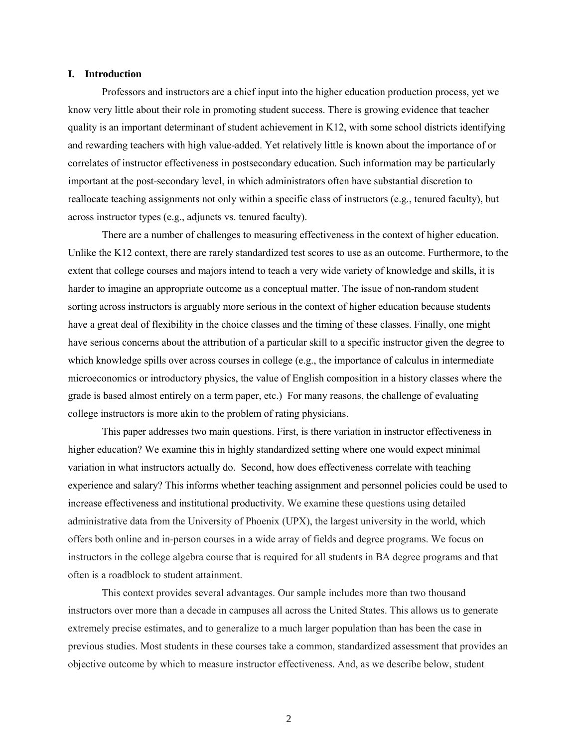#### **I. Introduction**

Professors and instructors are a chief input into the higher education production process, yet we know very little about their role in promoting student success. There is growing evidence that teacher quality is an important determinant of student achievement in K12, with some school districts identifying and rewarding teachers with high value-added. Yet relatively little is known about the importance of or correlates of instructor effectiveness in postsecondary education. Such information may be particularly important at the post-secondary level, in which administrators often have substantial discretion to reallocate teaching assignments not only within a specific class of instructors (e.g., tenured faculty), but across instructor types (e.g., adjuncts vs. tenured faculty).

There are a number of challenges to measuring effectiveness in the context of higher education. Unlike the K12 context, there are rarely standardized test scores to use as an outcome. Furthermore, to the extent that college courses and majors intend to teach a very wide variety of knowledge and skills, it is harder to imagine an appropriate outcome as a conceptual matter. The issue of non-random student sorting across instructors is arguably more serious in the context of higher education because students have a great deal of flexibility in the choice classes and the timing of these classes. Finally, one might have serious concerns about the attribution of a particular skill to a specific instructor given the degree to which knowledge spills over across courses in college (e.g., the importance of calculus in intermediate microeconomics or introductory physics, the value of English composition in a history classes where the grade is based almost entirely on a term paper, etc.) For many reasons, the challenge of evaluating college instructors is more akin to the problem of rating physicians.

This paper addresses two main questions. First, is there variation in instructor effectiveness in higher education? We examine this in highly standardized setting where one would expect minimal variation in what instructors actually do. Second, how does effectiveness correlate with teaching experience and salary? This informs whether teaching assignment and personnel policies could be used to increase effectiveness and institutional productivity. We examine these questions using detailed administrative data from the University of Phoenix (UPX), the largest university in the world, which offers both online and in-person courses in a wide array of fields and degree programs. We focus on instructors in the college algebra course that is required for all students in BA degree programs and that often is a roadblock to student attainment.

This context provides several advantages. Our sample includes more than two thousand instructors over more than a decade in campuses all across the United States. This allows us to generate extremely precise estimates, and to generalize to a much larger population than has been the case in previous studies. Most students in these courses take a common, standardized assessment that provides an objective outcome by which to measure instructor effectiveness. And, as we describe below, student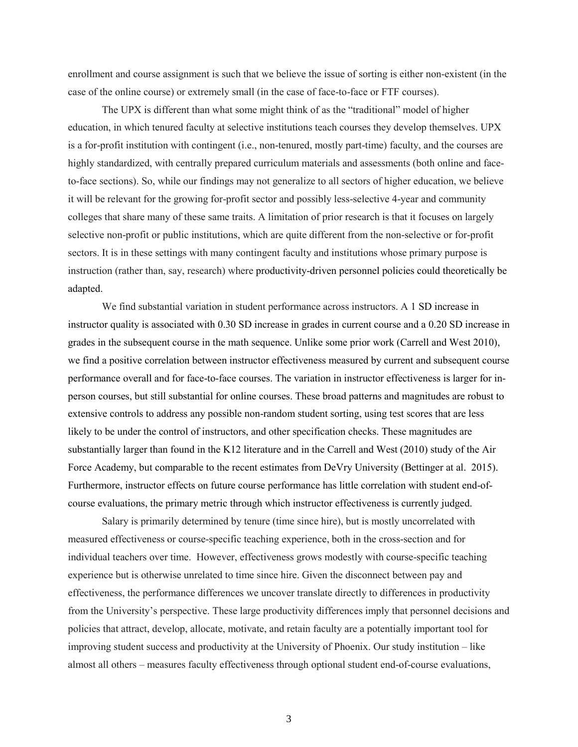enrollment and course assignment is such that we believe the issue of sorting is either non-existent (in the case of the online course) or extremely small (in the case of face-to-face or FTF courses).

The UPX is different than what some might think of as the "traditional" model of higher education, in which tenured faculty at selective institutions teach courses they develop themselves. UPX is a for-profit institution with contingent (i.e., non-tenured, mostly part-time) faculty, and the courses are highly standardized, with centrally prepared curriculum materials and assessments (both online and faceto-face sections). So, while our findings may not generalize to all sectors of higher education, we believe it will be relevant for the growing for-profit sector and possibly less-selective 4-year and community colleges that share many of these same traits. A limitation of prior research is that it focuses on largely selective non-profit or public institutions, which are quite different from the non-selective or for-profit sectors. It is in these settings with many contingent faculty and institutions whose primary purpose is instruction (rather than, say, research) where productivity-driven personnel policies could theoretically be adapted.

We find substantial variation in student performance across instructors. A 1 SD increase in instructor quality is associated with 0.30 SD increase in grades in current course and a 0.20 SD increase in grades in the subsequent course in the math sequence. Unlike some prior work (Carrell and West 2010), we find a positive correlation between instructor effectiveness measured by current and subsequent course performance overall and for face-to-face courses. The variation in instructor effectiveness is larger for inperson courses, but still substantial for online courses. These broad patterns and magnitudes are robust to extensive controls to address any possible non-random student sorting, using test scores that are less likely to be under the control of instructors, and other specification checks. These magnitudes are substantially larger than found in the K12 literature and in the Carrell and West (2010) study of the Air Force Academy, but comparable to the recent estimates from DeVry University (Bettinger at al. 2015). Furthermore, instructor effects on future course performance has little correlation with student end-ofcourse evaluations, the primary metric through which instructor effectiveness is currently judged.

Salary is primarily determined by tenure (time since hire), but is mostly uncorrelated with measured effectiveness or course-specific teaching experience, both in the cross-section and for individual teachers over time. However, effectiveness grows modestly with course-specific teaching experience but is otherwise unrelated to time since hire. Given the disconnect between pay and effectiveness, the performance differences we uncover translate directly to differences in productivity from the University's perspective. These large productivity differences imply that personnel decisions and policies that attract, develop, allocate, motivate, and retain faculty are a potentially important tool for improving student success and productivity at the University of Phoenix. Our study institution – like almost all others – measures faculty effectiveness through optional student end-of-course evaluations,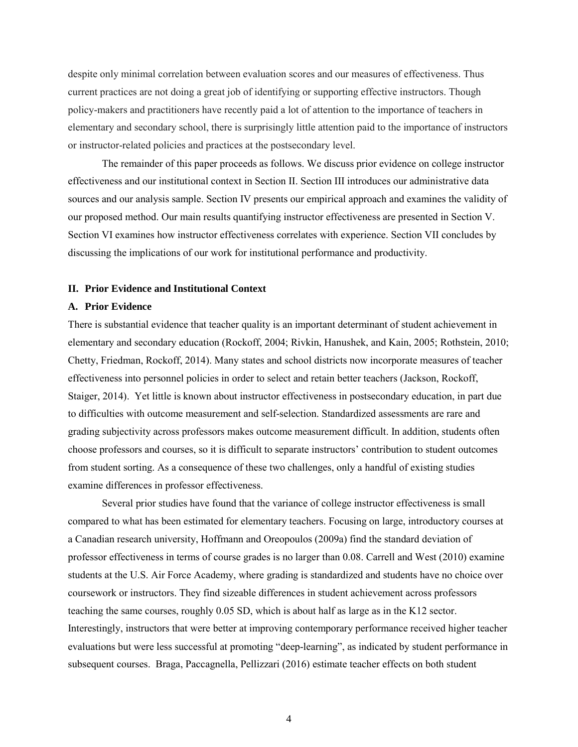despite only minimal correlation between evaluation scores and our measures of effectiveness. Thus current practices are not doing a great job of identifying or supporting effective instructors. Though policy-makers and practitioners have recently paid a lot of attention to the importance of teachers in elementary and secondary school, there is surprisingly little attention paid to the importance of instructors or instructor-related policies and practices at the postsecondary level.

The remainder of this paper proceeds as follows. We discuss prior evidence on college instructor effectiveness and our institutional context in Section II. Section III introduces our administrative data sources and our analysis sample. Section IV presents our empirical approach and examines the validity of our proposed method. Our main results quantifying instructor effectiveness are presented in Section V. Section VI examines how instructor effectiveness correlates with experience. Section VII concludes by discussing the implications of our work for institutional performance and productivity.

## **II. Prior Evidence and Institutional Context**

#### **A. Prior Evidence**

There is substantial evidence that teacher quality is an important determinant of student achievement in elementary and secondary education (Rockoff, 2004; Rivkin, Hanushek, and Kain, 2005; Rothstein, 2010; Chetty, Friedman, Rockoff, 2014). Many states and school districts now incorporate measures of teacher effectiveness into personnel policies in order to select and retain better teachers (Jackson, Rockoff, Staiger, 2014). Yet little is known about instructor effectiveness in postsecondary education, in part due to difficulties with outcome measurement and self-selection. Standardized assessments are rare and grading subjectivity across professors makes outcome measurement difficult. In addition, students often choose professors and courses, so it is difficult to separate instructors' contribution to student outcomes from student sorting. As a consequence of these two challenges, only a handful of existing studies examine differences in professor effectiveness.

Several prior studies have found that the variance of college instructor effectiveness is small compared to what has been estimated for elementary teachers. Focusing on large, introductory courses at a Canadian research university, Hoffmann and Oreopoulos (2009a) find the standard deviation of professor effectiveness in terms of course grades is no larger than 0.08. Carrell and West (2010) examine students at the U.S. Air Force Academy, where grading is standardized and students have no choice over coursework or instructors. They find sizeable differences in student achievement across professors teaching the same courses, roughly 0.05 SD, which is about half as large as in the K12 sector. Interestingly, instructors that were better at improving contemporary performance received higher teacher evaluations but were less successful at promoting "deep-learning", as indicated by student performance in subsequent courses. Braga, Paccagnella, Pellizzari (2016) estimate teacher effects on both student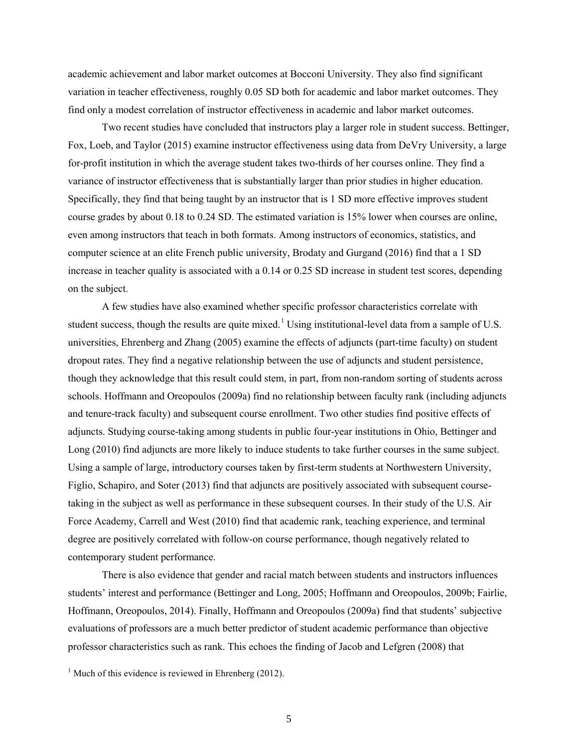academic achievement and labor market outcomes at Bocconi University. They also find significant variation in teacher effectiveness, roughly 0.05 SD both for academic and labor market outcomes. They find only a modest correlation of instructor effectiveness in academic and labor market outcomes.

Two recent studies have concluded that instructors play a larger role in student success. Bettinger, Fox, Loeb, and Taylor (2015) examine instructor effectiveness using data from DeVry University, a large for-profit institution in which the average student takes two-thirds of her courses online. They find a variance of instructor effectiveness that is substantially larger than prior studies in higher education. Specifically, they find that being taught by an instructor that is 1 SD more effective improves student course grades by about 0.18 to 0.24 SD. The estimated variation is 15% lower when courses are online, even among instructors that teach in both formats. Among instructors of economics, statistics, and computer science at an elite French public university, Brodaty and Gurgand (2016) find that a 1 SD increase in teacher quality is associated with a 0.14 or 0.25 SD increase in student test scores, depending on the subject.

A few studies have also examined whether specific professor characteristics correlate with student success, though the results are quite mixed.<sup>[1](#page-5-0)</sup> Using institutional-level data from a sample of U.S. universities, Ehrenberg and Zhang (2005) examine the effects of adjuncts (part-time faculty) on student dropout rates. They find a negative relationship between the use of adjuncts and student persistence, though they acknowledge that this result could stem, in part, from non-random sorting of students across schools. Hoffmann and Oreopoulos (2009a) find no relationship between faculty rank (including adjuncts and tenure-track faculty) and subsequent course enrollment. Two other studies find positive effects of adjuncts. Studying course-taking among students in public four-year institutions in Ohio, Bettinger and Long (2010) find adjuncts are more likely to induce students to take further courses in the same subject. Using a sample of large, introductory courses taken by first-term students at Northwestern University, Figlio, Schapiro, and Soter (2013) find that adjuncts are positively associated with subsequent coursetaking in the subject as well as performance in these subsequent courses. In their study of the U.S. Air Force Academy, Carrell and West (2010) find that academic rank, teaching experience, and terminal degree are positively correlated with follow-on course performance, though negatively related to contemporary student performance.

There is also evidence that gender and racial match between students and instructors influences students' interest and performance (Bettinger and Long, 2005; Hoffmann and Oreopoulos, 2009b; Fairlie, Hoffmann, Oreopoulos, 2014). Finally, Hoffmann and Oreopoulos (2009a) find that students' subjective evaluations of professors are a much better predictor of student academic performance than objective professor characteristics such as rank. This echoes the finding of Jacob and Lefgren (2008) that

<span id="page-5-0"></span><sup>&</sup>lt;sup>1</sup> Much of this evidence is reviewed in Ehrenberg  $(2012)$ .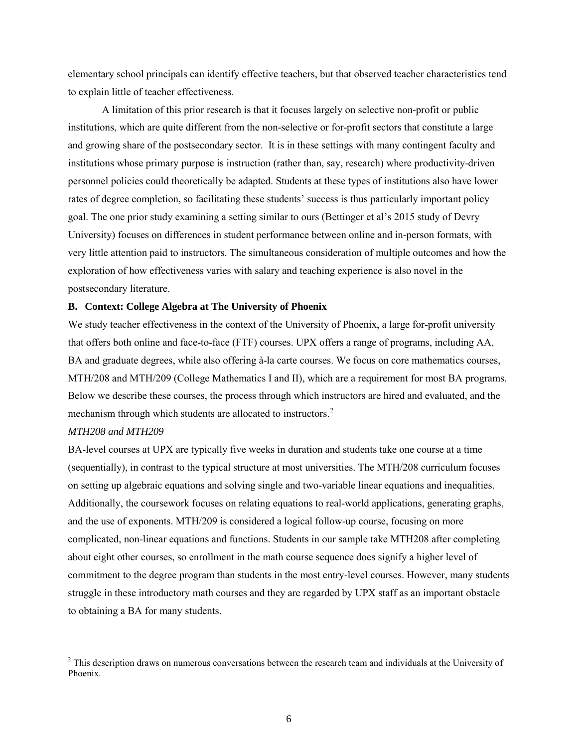elementary school principals can identify effective teachers, but that observed teacher characteristics tend to explain little of teacher effectiveness.

A limitation of this prior research is that it focuses largely on selective non-profit or public institutions, which are quite different from the non-selective or for-profit sectors that constitute a large and growing share of the postsecondary sector. It is in these settings with many contingent faculty and institutions whose primary purpose is instruction (rather than, say, research) where productivity-driven personnel policies could theoretically be adapted. Students at these types of institutions also have lower rates of degree completion, so facilitating these students' success is thus particularly important policy goal. The one prior study examining a setting similar to ours (Bettinger et al's 2015 study of Devry University) focuses on differences in student performance between online and in-person formats, with very little attention paid to instructors. The simultaneous consideration of multiple outcomes and how the exploration of how effectiveness varies with salary and teaching experience is also novel in the postsecondary literature.

#### **B. Context: College Algebra at The University of Phoenix**

We study teacher effectiveness in the context of the University of Phoenix, a large for-profit university that offers both online and face-to-face (FTF) courses. UPX offers a range of programs, including AA, BA and graduate degrees, while also offering à-la carte courses. We focus on core mathematics courses, MTH/208 and MTH/209 (College Mathematics I and II), which are a requirement for most BA programs. Below we describe these courses, the process through which instructors are hired and evaluated, and the mechanism through which students are allocated to instructors.<sup>[2](#page-6-0)</sup>

## *MTH208 and MTH209*

BA-level courses at UPX are typically five weeks in duration and students take one course at a time (sequentially), in contrast to the typical structure at most universities. The MTH/208 curriculum focuses on setting up algebraic equations and solving single and two-variable linear equations and inequalities. Additionally, the coursework focuses on relating equations to real-world applications, generating graphs, and the use of exponents. MTH/209 is considered a logical follow-up course, focusing on more complicated, non-linear equations and functions. Students in our sample take MTH208 after completing about eight other courses, so enrollment in the math course sequence does signify a higher level of commitment to the degree program than students in the most entry-level courses. However, many students struggle in these introductory math courses and they are regarded by UPX staff as an important obstacle to obtaining a BA for many students.

<span id="page-6-0"></span> $2$  This description draws on numerous conversations between the research team and individuals at the University of Phoenix.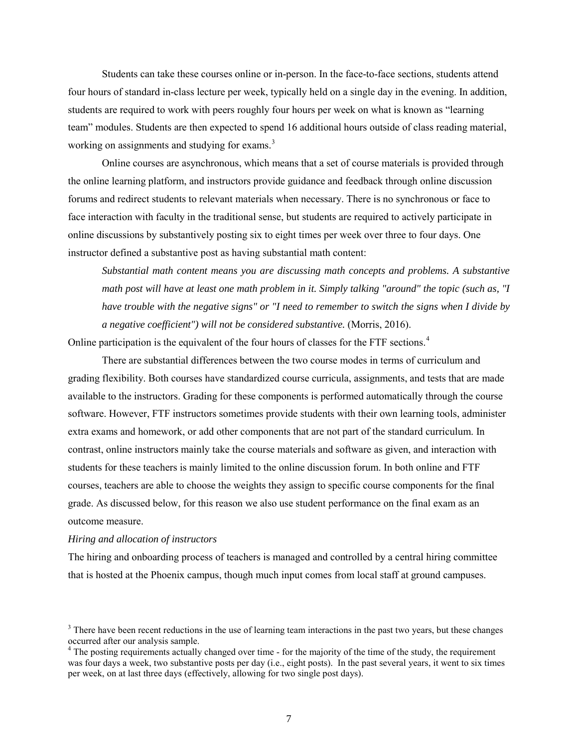Students can take these courses online or in-person. In the face-to-face sections, students attend four hours of standard in-class lecture per week, typically held on a single day in the evening. In addition, students are required to work with peers roughly four hours per week on what is known as "learning team" modules. Students are then expected to spend 16 additional hours outside of class reading material, working on assignments and studying for exams.<sup>[3](#page-7-0)</sup>

Online courses are asynchronous, which means that a set of course materials is provided through the online learning platform, and instructors provide guidance and feedback through online discussion forums and redirect students to relevant materials when necessary. There is no synchronous or face to face interaction with faculty in the traditional sense, but students are required to actively participate in online discussions by substantively posting six to eight times per week over three to four days. One instructor defined a substantive post as having substantial math content:

*Substantial math content means you are discussing math concepts and problems. A substantive math post will have at least one math problem in it. Simply talking "around" the topic (such as, "I have trouble with the negative signs" or "I need to remember to switch the signs when I divide by a negative coefficient") will not be considered substantive.* (Morris, 2016).

Online participation is the equivalent of the four hours of classes for the FTF sections.<sup>[4](#page-7-1)</sup>

There are substantial differences between the two course modes in terms of curriculum and grading flexibility. Both courses have standardized course curricula, assignments, and tests that are made available to the instructors. Grading for these components is performed automatically through the course software. However, FTF instructors sometimes provide students with their own learning tools, administer extra exams and homework, or add other components that are not part of the standard curriculum. In contrast, online instructors mainly take the course materials and software as given, and interaction with students for these teachers is mainly limited to the online discussion forum. In both online and FTF courses, teachers are able to choose the weights they assign to specific course components for the final grade. As discussed below, for this reason we also use student performance on the final exam as an outcome measure.

#### *Hiring and allocation of instructors*

The hiring and onboarding process of teachers is managed and controlled by a central hiring committee that is hosted at the Phoenix campus, though much input comes from local staff at ground campuses.

<span id="page-7-0"></span> $3$  There have been recent reductions in the use of learning team interactions in the past two years, but these changes occurred after our analysis sample.<br><sup>4</sup> The posting requirements actually changed over time - for the majority of the time of the study, the requirement

<span id="page-7-1"></span>was four days a week, two substantive posts per day (i.e., eight posts). In the past several years, it went to six times per week, on at last three days (effectively, allowing for two single post days).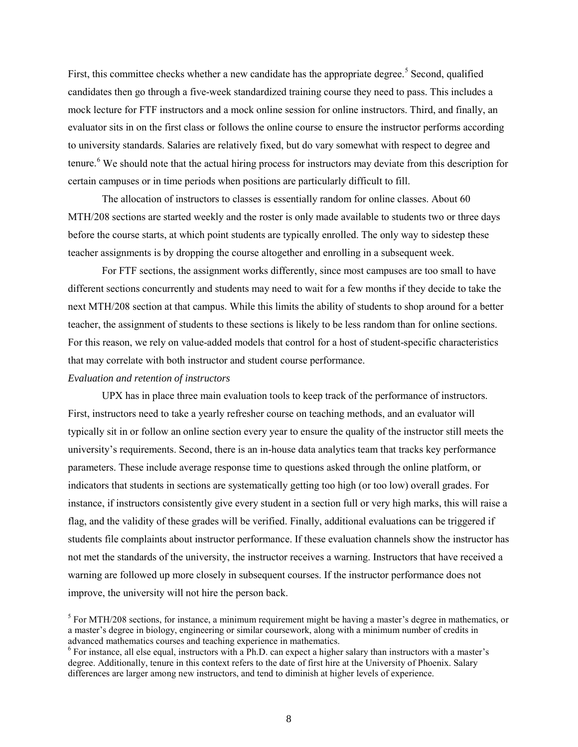First, this committee checks whether a new candidate has the appropriate degree.<sup>[5](#page-8-0)</sup> Second, qualified candidates then go through a five-week standardized training course they need to pass. This includes a mock lecture for FTF instructors and a mock online session for online instructors. Third, and finally, an evaluator sits in on the first class or follows the online course to ensure the instructor performs according to university standards. Salaries are relatively fixed, but do vary somewhat with respect to degree and tenure.<sup>[6](#page-8-1)</sup> We should note that the actual hiring process for instructors may deviate from this description for certain campuses or in time periods when positions are particularly difficult to fill.

The allocation of instructors to classes is essentially random for online classes. About 60 MTH/208 sections are started weekly and the roster is only made available to students two or three days before the course starts, at which point students are typically enrolled. The only way to sidestep these teacher assignments is by dropping the course altogether and enrolling in a subsequent week.

For FTF sections, the assignment works differently, since most campuses are too small to have different sections concurrently and students may need to wait for a few months if they decide to take the next MTH/208 section at that campus. While this limits the ability of students to shop around for a better teacher, the assignment of students to these sections is likely to be less random than for online sections. For this reason, we rely on value-added models that control for a host of student-specific characteristics that may correlate with both instructor and student course performance.

#### *Evaluation and retention of instructors*

UPX has in place three main evaluation tools to keep track of the performance of instructors. First, instructors need to take a yearly refresher course on teaching methods, and an evaluator will typically sit in or follow an online section every year to ensure the quality of the instructor still meets the university's requirements. Second, there is an in-house data analytics team that tracks key performance parameters. These include average response time to questions asked through the online platform, or indicators that students in sections are systematically getting too high (or too low) overall grades. For instance, if instructors consistently give every student in a section full or very high marks, this will raise a flag, and the validity of these grades will be verified. Finally, additional evaluations can be triggered if students file complaints about instructor performance. If these evaluation channels show the instructor has not met the standards of the university, the instructor receives a warning. Instructors that have received a warning are followed up more closely in subsequent courses. If the instructor performance does not improve, the university will not hire the person back.

<span id="page-8-0"></span> $<sup>5</sup>$  For MTH/208 sections, for instance, a minimum requirement might be having a master's degree in mathematics, or</sup> a master's degree in biology, engineering or similar coursework, along with a minimum number of credits in advanced mathematics courses and teaching experience in mathematics.

<span id="page-8-1"></span><sup>6</sup> For instance, all else equal, instructors with a Ph.D. can expect a higher salary than instructors with a master's degree. Additionally, tenure in this context refers to the date of first hire at the University of Phoenix. Salary differences are larger among new instructors, and tend to diminish at higher levels of experience.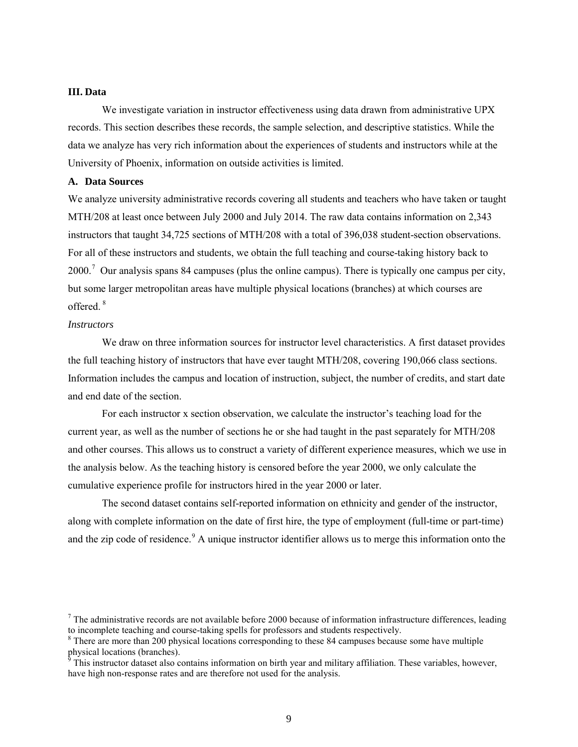#### **III. Data**

We investigate variation in instructor effectiveness using data drawn from administrative UPX records. This section describes these records, the sample selection, and descriptive statistics. While the data we analyze has very rich information about the experiences of students and instructors while at the University of Phoenix, information on outside activities is limited.

### **A. Data Sources**

We analyze university administrative records covering all students and teachers who have taken or taught MTH/208 at least once between July 2000 and July 2014. The raw data contains information on 2,343 instructors that taught 34,725 sections of MTH/208 with a total of 396,038 student-section observations. For all of these instructors and students, we obtain the full teaching and course-taking history back to  $2000$ .<sup>[7](#page-9-0)</sup> Our analysis spans 84 campuses (plus the online campus). There is typically one campus per city, but some larger metropolitan areas have multiple physical locations (branches) at which courses are offered.<sup>[8](#page-9-1)</sup>

## *Instructors*

We draw on three information sources for instructor level characteristics. A first dataset provides the full teaching history of instructors that have ever taught MTH/208, covering 190,066 class sections. Information includes the campus and location of instruction, subject, the number of credits, and start date and end date of the section.

For each instructor x section observation, we calculate the instructor's teaching load for the current year, as well as the number of sections he or she had taught in the past separately for MTH/208 and other courses. This allows us to construct a variety of different experience measures, which we use in the analysis below. As the teaching history is censored before the year 2000, we only calculate the cumulative experience profile for instructors hired in the year 2000 or later.

The second dataset contains self-reported information on ethnicity and gender of the instructor, along with complete information on the date of first hire, the type of employment (full-time or part-time) and the zip code of residence.<sup>[9](#page-9-2)</sup> A unique instructor identifier allows us to merge this information onto the

<span id="page-9-0"></span> $<sup>7</sup>$  The administrative records are not available before 2000 because of information infrastructure differences, leading</sup> to incomplete teaching and course-taking spells for professors and students respectively.

<span id="page-9-1"></span><sup>&</sup>lt;sup>8</sup> There are more than 200 physical locations corresponding to these 84 campuses because some have multiple physical locations (branches).

<span id="page-9-2"></span> $9$  This instructor dataset also contains information on birth year and military affiliation. These variables, however, have high non-response rates and are therefore not used for the analysis.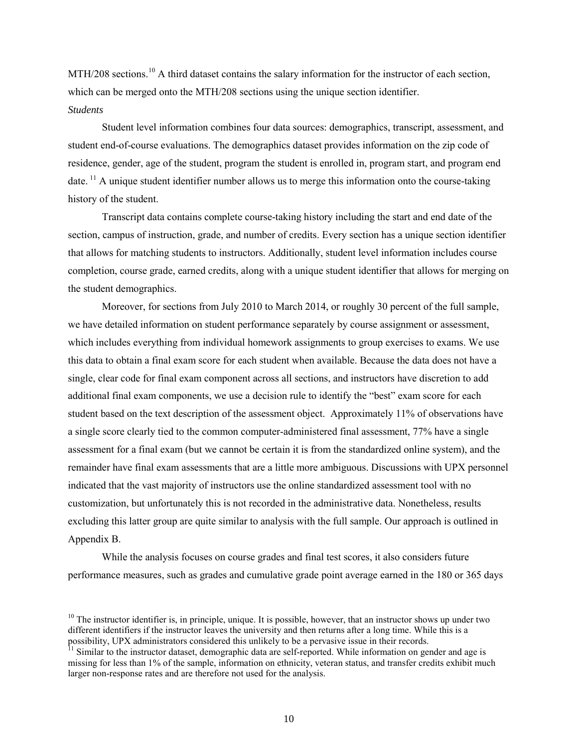MTH/208 sections.<sup>[10](#page-10-0)</sup> A third dataset contains the salary information for the instructor of each section, which can be merged onto the MTH/208 sections using the unique section identifier. *Students*

Student level information combines four data sources: demographics, transcript, assessment, and student end-of-course evaluations. The demographics dataset provides information on the zip code of residence, gender, age of the student, program the student is enrolled in, program start, and program end date. <sup>[11](#page-10-1)</sup> A unique student identifier number allows us to merge this information onto the course-taking history of the student.

Transcript data contains complete course-taking history including the start and end date of the section, campus of instruction, grade, and number of credits. Every section has a unique section identifier that allows for matching students to instructors. Additionally, student level information includes course completion, course grade, earned credits, along with a unique student identifier that allows for merging on the student demographics.

Moreover, for sections from July 2010 to March 2014, or roughly 30 percent of the full sample, we have detailed information on student performance separately by course assignment or assessment, which includes everything from individual homework assignments to group exercises to exams. We use this data to obtain a final exam score for each student when available. Because the data does not have a single, clear code for final exam component across all sections, and instructors have discretion to add additional final exam components, we use a decision rule to identify the "best" exam score for each student based on the text description of the assessment object. Approximately 11% of observations have a single score clearly tied to the common computer-administered final assessment, 77% have a single assessment for a final exam (but we cannot be certain it is from the standardized online system), and the remainder have final exam assessments that are a little more ambiguous. Discussions with UPX personnel indicated that the vast majority of instructors use the online standardized assessment tool with no customization, but unfortunately this is not recorded in the administrative data. Nonetheless, results excluding this latter group are quite similar to analysis with the full sample. Our approach is outlined in Appendix B.

While the analysis focuses on course grades and final test scores, it also considers future performance measures, such as grades and cumulative grade point average earned in the 180 or 365 days

<span id="page-10-0"></span> $10$  The instructor identifier is, in principle, unique. It is possible, however, that an instructor shows up under two different identifiers if the instructor leaves the university and then returns after a long time. While this is a possibility, UPX administrators considered this unlikely to be a pervasive issue in their records.<br><sup>11</sup> Similar to the instructor dataset, demographic data are self-reported. While information on gender and age is

<span id="page-10-1"></span>missing for less than 1% of the sample, information on ethnicity, veteran status, and transfer credits exhibit much larger non-response rates and are therefore not used for the analysis.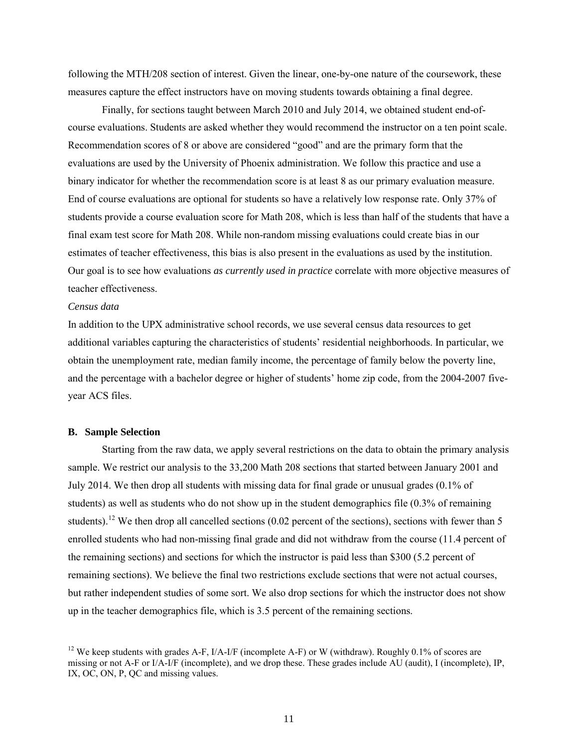following the MTH/208 section of interest. Given the linear, one-by-one nature of the coursework, these measures capture the effect instructors have on moving students towards obtaining a final degree.

Finally, for sections taught between March 2010 and July 2014, we obtained student end-ofcourse evaluations. Students are asked whether they would recommend the instructor on a ten point scale. Recommendation scores of 8 or above are considered "good" and are the primary form that the evaluations are used by the University of Phoenix administration. We follow this practice and use a binary indicator for whether the recommendation score is at least 8 as our primary evaluation measure. End of course evaluations are optional for students so have a relatively low response rate. Only 37% of students provide a course evaluation score for Math 208, which is less than half of the students that have a final exam test score for Math 208. While non-random missing evaluations could create bias in our estimates of teacher effectiveness, this bias is also present in the evaluations as used by the institution. Our goal is to see how evaluations *as currently used in practice* correlate with more objective measures of teacher effectiveness.

#### *Census data*

In addition to the UPX administrative school records, we use several census data resources to get additional variables capturing the characteristics of students' residential neighborhoods. In particular, we obtain the unemployment rate, median family income, the percentage of family below the poverty line, and the percentage with a bachelor degree or higher of students' home zip code, from the 2004-2007 fiveyear ACS files.

#### **B. Sample Selection**

Starting from the raw data, we apply several restrictions on the data to obtain the primary analysis sample. We restrict our analysis to the 33,200 Math 208 sections that started between January 2001 and July 2014. We then drop all students with missing data for final grade or unusual grades (0.1% of students) as well as students who do not show up in the student demographics file (0.3% of remaining students).<sup>[12](#page-11-0)</sup> We then drop all cancelled sections (0.02 percent of the sections), sections with fewer than 5 enrolled students who had non-missing final grade and did not withdraw from the course (11.4 percent of the remaining sections) and sections for which the instructor is paid less than \$300 (5.2 percent of remaining sections). We believe the final two restrictions exclude sections that were not actual courses, but rather independent studies of some sort. We also drop sections for which the instructor does not show up in the teacher demographics file, which is 3.5 percent of the remaining sections.

<span id="page-11-0"></span><sup>&</sup>lt;sup>12</sup> We keep students with grades A-F,  $I/A-I/F$  (incomplete A-F) or W (withdraw). Roughly 0.1% of scores are missing or not A-F or I/A-I/F (incomplete), and we drop these. These grades include AU (audit), I (incomplete), IP, IX, OC, ON, P, QC and missing values.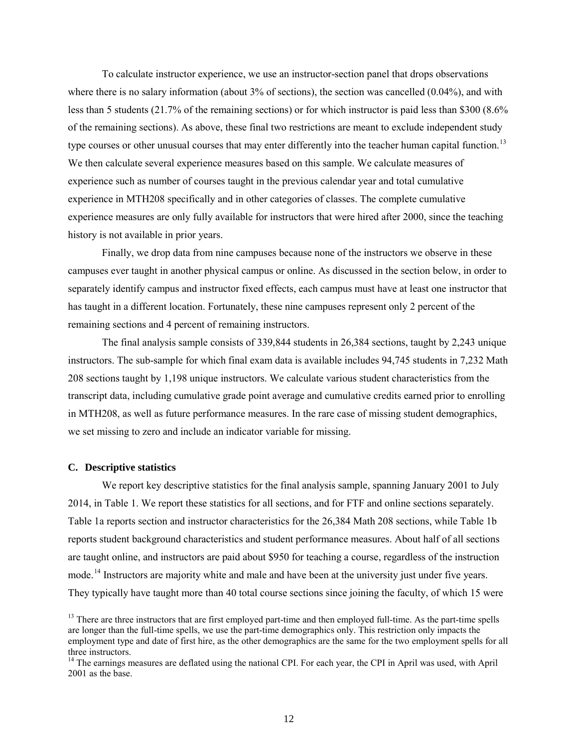To calculate instructor experience, we use an instructor-section panel that drops observations where there is no salary information (about 3% of sections), the section was cancelled (0.04%), and with less than 5 students (21.7% of the remaining sections) or for which instructor is paid less than \$300 (8.6% of the remaining sections). As above, these final two restrictions are meant to exclude independent study type courses or other unusual courses that may enter differently into the teacher human capital function.<sup>[13](#page-12-0)</sup> We then calculate several experience measures based on this sample. We calculate measures of experience such as number of courses taught in the previous calendar year and total cumulative experience in MTH208 specifically and in other categories of classes. The complete cumulative experience measures are only fully available for instructors that were hired after 2000, since the teaching history is not available in prior years.

Finally, we drop data from nine campuses because none of the instructors we observe in these campuses ever taught in another physical campus or online. As discussed in the section below, in order to separately identify campus and instructor fixed effects, each campus must have at least one instructor that has taught in a different location. Fortunately, these nine campuses represent only 2 percent of the remaining sections and 4 percent of remaining instructors.

The final analysis sample consists of 339,844 students in 26,384 sections, taught by 2,243 unique instructors. The sub-sample for which final exam data is available includes 94,745 students in 7,232 Math 208 sections taught by 1,198 unique instructors. We calculate various student characteristics from the transcript data, including cumulative grade point average and cumulative credits earned prior to enrolling in MTH208, as well as future performance measures. In the rare case of missing student demographics, we set missing to zero and include an indicator variable for missing.

#### **C. Descriptive statistics**

We report key descriptive statistics for the final analysis sample, spanning January 2001 to July 2014, in Table 1. We report these statistics for all sections, and for FTF and online sections separately. Table 1a reports section and instructor characteristics for the 26,384 Math 208 sections, while Table 1b reports student background characteristics and student performance measures. About half of all sections are taught online, and instructors are paid about \$950 for teaching a course, regardless of the instruction mode.<sup>[14](#page-12-1)</sup> Instructors are majority white and male and have been at the university just under five years. They typically have taught more than 40 total course sections since joining the faculty, of which 15 were

<span id="page-12-0"></span> $<sup>13</sup>$  There are three instructors that are first employed part-time and then employed full-time. As the part-time spells</sup> are longer than the full-time spells, we use the part-time demographics only. This restriction only impacts the employment type and date of first hire, as the other demographics are the same for the two employment spells for all three instructors.

<span id="page-12-1"></span><sup>&</sup>lt;sup>14</sup> The earnings measures are deflated using the national CPI. For each year, the CPI in April was used, with April 2001 as the base.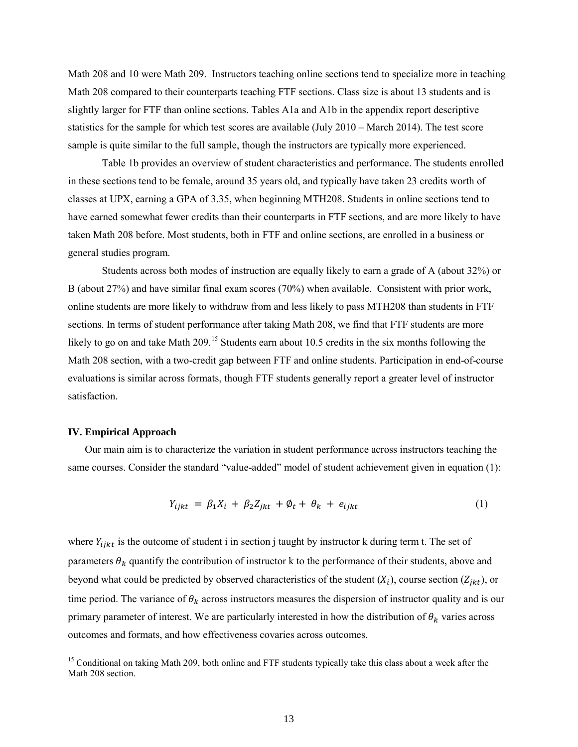Math 208 and 10 were Math 209. Instructors teaching online sections tend to specialize more in teaching Math 208 compared to their counterparts teaching FTF sections. Class size is about 13 students and is slightly larger for FTF than online sections. Tables A1a and A1b in the appendix report descriptive statistics for the sample for which test scores are available (July 2010 – March 2014). The test score sample is quite similar to the full sample, though the instructors are typically more experienced.

Table 1b provides an overview of student characteristics and performance. The students enrolled in these sections tend to be female, around 35 years old, and typically have taken 23 credits worth of classes at UPX, earning a GPA of 3.35, when beginning MTH208. Students in online sections tend to have earned somewhat fewer credits than their counterparts in FTF sections, and are more likely to have taken Math 208 before. Most students, both in FTF and online sections, are enrolled in a business or general studies program.

Students across both modes of instruction are equally likely to earn a grade of A (about 32%) or B (about 27%) and have similar final exam scores (70%) when available. Consistent with prior work, online students are more likely to withdraw from and less likely to pass MTH208 than students in FTF sections. In terms of student performance after taking Math 208, we find that FTF students are more likely to go on and take Math 209.<sup>[15](#page-13-0)</sup> Students earn about 10.5 credits in the six months following the Math 208 section, with a two-credit gap between FTF and online students. Participation in end-of-course evaluations is similar across formats, though FTF students generally report a greater level of instructor satisfaction.

#### **IV. Empirical Approach**

Our main aim is to characterize the variation in student performance across instructors teaching the same courses. Consider the standard "value-added" model of student achievement given in equation (1):

$$
Y_{ijkt} = \beta_1 X_i + \beta_2 Z_{jkt} + \emptyset_t + \theta_k + e_{ijkt}
$$
 (1)

where  $Y_{ijkt}$  is the outcome of student i in section j taught by instructor k during term t. The set of parameters  $\theta_k$  quantify the contribution of instructor k to the performance of their students, above and beyond what could be predicted by observed characteristics of the student  $(X_i)$ , course section  $(Z_{jkt})$ , or time period. The variance of  $\theta_k$  across instructors measures the dispersion of instructor quality and is our primary parameter of interest. We are particularly interested in how the distribution of  $\theta_k$  varies across outcomes and formats, and how effectiveness covaries across outcomes.

<span id="page-13-0"></span><sup>15</sup> Conditional on taking Math 209, both online and FTF students typically take this class about a week after the Math 208 section.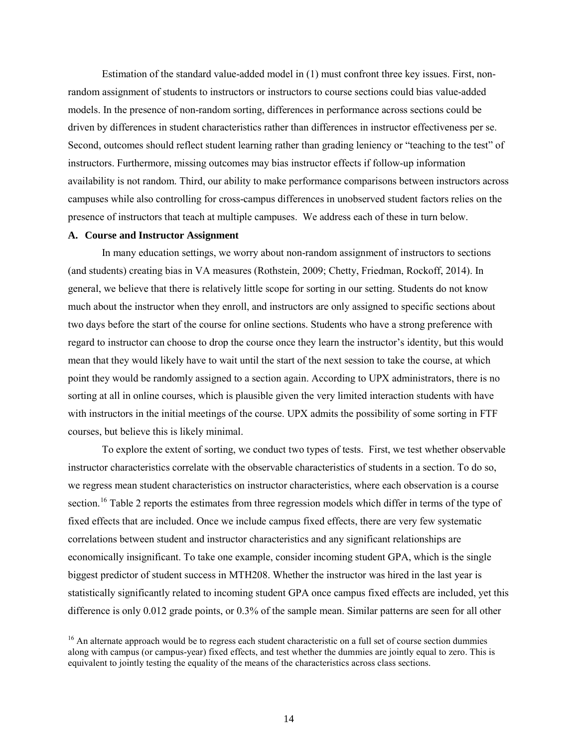Estimation of the standard value-added model in (1) must confront three key issues. First, nonrandom assignment of students to instructors or instructors to course sections could bias value-added models. In the presence of non-random sorting, differences in performance across sections could be driven by differences in student characteristics rather than differences in instructor effectiveness per se. Second, outcomes should reflect student learning rather than grading leniency or "teaching to the test" of instructors. Furthermore, missing outcomes may bias instructor effects if follow-up information availability is not random. Third, our ability to make performance comparisons between instructors across campuses while also controlling for cross-campus differences in unobserved student factors relies on the presence of instructors that teach at multiple campuses. We address each of these in turn below.

#### **A. Course and Instructor Assignment**

In many education settings, we worry about non-random assignment of instructors to sections (and students) creating bias in VA measures (Rothstein, 2009; Chetty, Friedman, Rockoff, 2014). In general, we believe that there is relatively little scope for sorting in our setting. Students do not know much about the instructor when they enroll, and instructors are only assigned to specific sections about two days before the start of the course for online sections. Students who have a strong preference with regard to instructor can choose to drop the course once they learn the instructor's identity, but this would mean that they would likely have to wait until the start of the next session to take the course, at which point they would be randomly assigned to a section again. According to UPX administrators, there is no sorting at all in online courses, which is plausible given the very limited interaction students with have with instructors in the initial meetings of the course. UPX admits the possibility of some sorting in FTF courses, but believe this is likely minimal.

To explore the extent of sorting, we conduct two types of tests. First, we test whether observable instructor characteristics correlate with the observable characteristics of students in a section. To do so, we regress mean student characteristics on instructor characteristics, where each observation is a course section.<sup>[16](#page-14-0)</sup> Table 2 reports the estimates from three regression models which differ in terms of the type of fixed effects that are included. Once we include campus fixed effects, there are very few systematic correlations between student and instructor characteristics and any significant relationships are economically insignificant. To take one example, consider incoming student GPA, which is the single biggest predictor of student success in MTH208. Whether the instructor was hired in the last year is statistically significantly related to incoming student GPA once campus fixed effects are included, yet this difference is only 0.012 grade points, or 0.3% of the sample mean. Similar patterns are seen for all other

<span id="page-14-0"></span><sup>&</sup>lt;sup>16</sup> An alternate approach would be to regress each student characteristic on a full set of course section dummies along with campus (or campus-year) fixed effects, and test whether the dummies are jointly equal to zero. This is equivalent to jointly testing the equality of the means of the characteristics across class sections.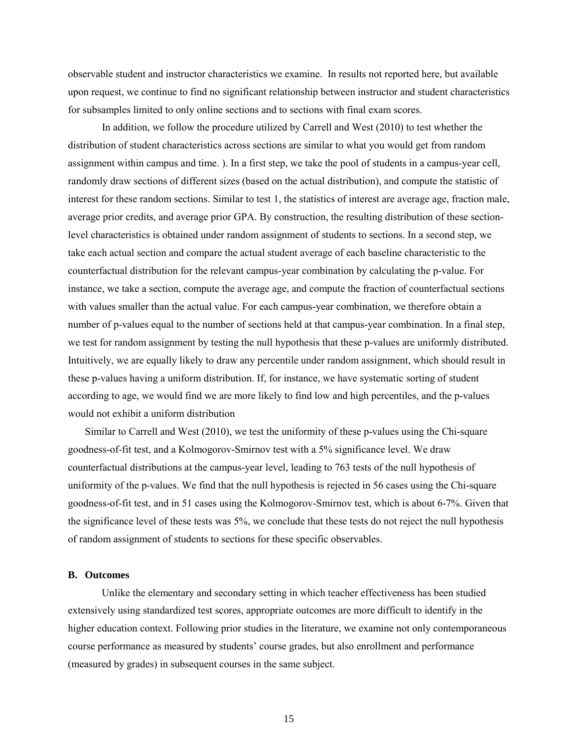observable student and instructor characteristics we examine. In results not reported here, but available upon request, we continue to find no significant relationship between instructor and student characteristics for subsamples limited to only online sections and to sections with final exam scores.

In addition, we follow the procedure utilized by Carrell and West (2010) to test whether the distribution of student characteristics across sections are similar to what you would get from random assignment within campus and time. ). In a first step, we take the pool of students in a campus-year cell, randomly draw sections of different sizes (based on the actual distribution), and compute the statistic of interest for these random sections. Similar to test 1, the statistics of interest are average age, fraction male, average prior credits, and average prior GPA. By construction, the resulting distribution of these sectionlevel characteristics is obtained under random assignment of students to sections. In a second step, we take each actual section and compare the actual student average of each baseline characteristic to the counterfactual distribution for the relevant campus-year combination by calculating the p-value. For instance, we take a section, compute the average age, and compute the fraction of counterfactual sections with values smaller than the actual value. For each campus-year combination, we therefore obtain a number of p-values equal to the number of sections held at that campus-year combination. In a final step, we test for random assignment by testing the null hypothesis that these p-values are uniformly distributed. Intuitively, we are equally likely to draw any percentile under random assignment, which should result in these p-values having a uniform distribution. If, for instance, we have systematic sorting of student according to age, we would find we are more likely to find low and high percentiles, and the p-values would not exhibit a uniform distribution

Similar to Carrell and West (2010), we test the uniformity of these p-values using the Chi-square goodness-of-fit test, and a Kolmogorov-Smirnov test with a 5% significance level. We draw counterfactual distributions at the campus-year level, leading to 763 tests of the null hypothesis of uniformity of the p-values. We find that the null hypothesis is rejected in 56 cases using the Chi-square goodness-of-fit test, and in 51 cases using the Kolmogorov-Smirnov test, which is about 6-7%. Given that the significance level of these tests was 5%, we conclude that these tests do not reject the null hypothesis of random assignment of students to sections for these specific observables.

#### **B. Outcomes**

Unlike the elementary and secondary setting in which teacher effectiveness has been studied extensively using standardized test scores, appropriate outcomes are more difficult to identify in the higher education context. Following prior studies in the literature, we examine not only contemporaneous course performance as measured by students' course grades, but also enrollment and performance (measured by grades) in subsequent courses in the same subject.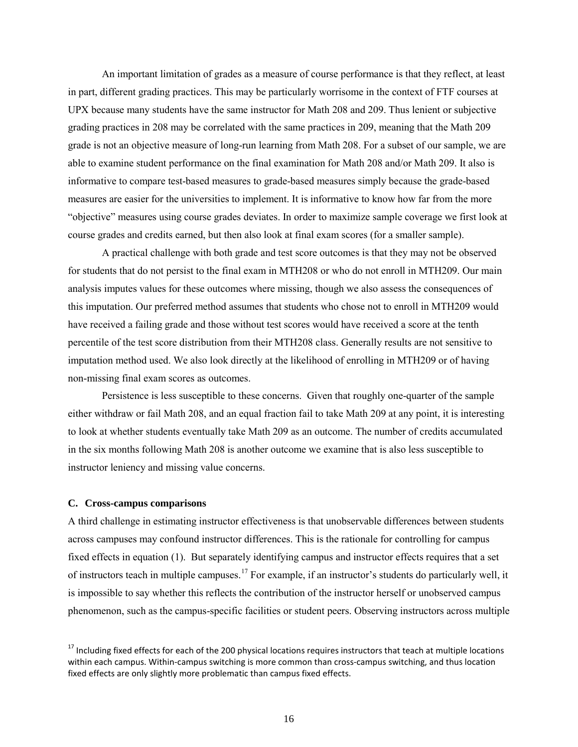An important limitation of grades as a measure of course performance is that they reflect, at least in part, different grading practices. This may be particularly worrisome in the context of FTF courses at UPX because many students have the same instructor for Math 208 and 209. Thus lenient or subjective grading practices in 208 may be correlated with the same practices in 209, meaning that the Math 209 grade is not an objective measure of long-run learning from Math 208. For a subset of our sample, we are able to examine student performance on the final examination for Math 208 and/or Math 209. It also is informative to compare test-based measures to grade-based measures simply because the grade-based measures are easier for the universities to implement. It is informative to know how far from the more "objective" measures using course grades deviates. In order to maximize sample coverage we first look at course grades and credits earned, but then also look at final exam scores (for a smaller sample).

A practical challenge with both grade and test score outcomes is that they may not be observed for students that do not persist to the final exam in MTH208 or who do not enroll in MTH209. Our main analysis imputes values for these outcomes where missing, though we also assess the consequences of this imputation. Our preferred method assumes that students who chose not to enroll in MTH209 would have received a failing grade and those without test scores would have received a score at the tenth percentile of the test score distribution from their MTH208 class. Generally results are not sensitive to imputation method used. We also look directly at the likelihood of enrolling in MTH209 or of having non-missing final exam scores as outcomes.

Persistence is less susceptible to these concerns. Given that roughly one-quarter of the sample either withdraw or fail Math 208, and an equal fraction fail to take Math 209 at any point, it is interesting to look at whether students eventually take Math 209 as an outcome. The number of credits accumulated in the six months following Math 208 is another outcome we examine that is also less susceptible to instructor leniency and missing value concerns.

## **C. Cross-campus comparisons**

A third challenge in estimating instructor effectiveness is that unobservable differences between students across campuses may confound instructor differences. This is the rationale for controlling for campus fixed effects in equation (1). But separately identifying campus and instructor effects requires that a set of instructors teach in multiple campuses.[17](#page-16-0) For example, if an instructor's students do particularly well, it is impossible to say whether this reflects the contribution of the instructor herself or unobserved campus phenomenon, such as the campus-specific facilities or student peers. Observing instructors across multiple

<span id="page-16-0"></span><sup>&</sup>lt;sup>17</sup> Including fixed effects for each of the 200 physical locations requires instructors that teach at multiple locations within each campus. Within-campus switching is more common than cross-campus switching, and thus location fixed effects are only slightly more problematic than campus fixed effects.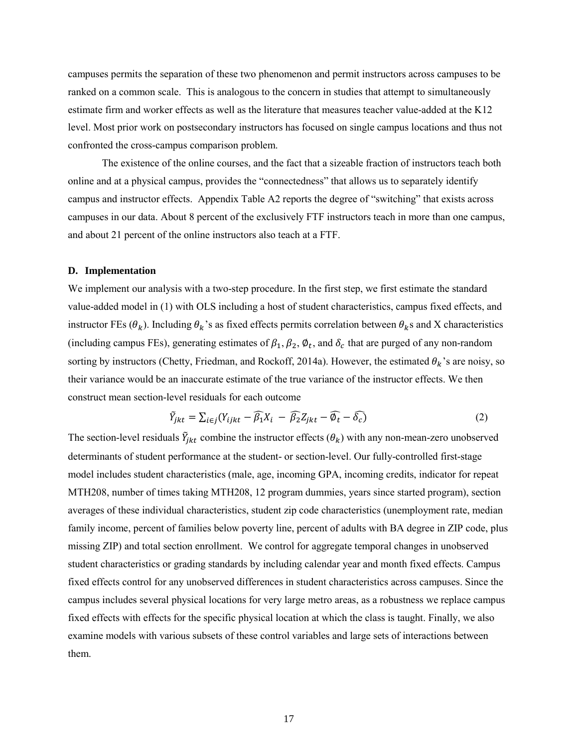campuses permits the separation of these two phenomenon and permit instructors across campuses to be ranked on a common scale. This is analogous to the concern in studies that attempt to simultaneously estimate firm and worker effects as well as the literature that measures teacher value-added at the K12 level. Most prior work on postsecondary instructors has focused on single campus locations and thus not confronted the cross-campus comparison problem.

The existence of the online courses, and the fact that a sizeable fraction of instructors teach both online and at a physical campus, provides the "connectedness" that allows us to separately identify campus and instructor effects. Appendix Table A2 reports the degree of "switching" that exists across campuses in our data. About 8 percent of the exclusively FTF instructors teach in more than one campus, and about 21 percent of the online instructors also teach at a FTF.

#### **D. Implementation**

We implement our analysis with a two-step procedure. In the first step, we first estimate the standard value-added model in (1) with OLS including a host of student characteristics, campus fixed effects, and instructor FEs ( $\theta_k$ ). Including  $\theta_k$ 's as fixed effects permits correlation between  $\theta_k$ s and X characteristics (including campus FEs), generating estimates of  $\beta_1$ ,  $\beta_2$ ,  $\emptyset_t$ , and  $\delta_c$  that are purged of any non-random sorting by instructors (Chetty, Friedman, and Rockoff, 2014a). However, the estimated  $\theta_k$ 's are noisy, so their variance would be an inaccurate estimate of the true variance of the instructor effects. We then construct mean section-level residuals for each outcome

$$
\tilde{Y}_{jkt} = \sum_{i \in j} (Y_{ijkt} - \widehat{\beta_1} X_i - \widehat{\beta_2} Z_{jkt} - \widehat{\phi_t} - \delta_c)
$$
\n(2)

The section-level residuals  $\tilde{Y}_{ikt}$  combine the instructor effects  $(\theta_k)$  with any non-mean-zero unobserved determinants of student performance at the student- or section-level. Our fully-controlled first-stage model includes student characteristics (male, age, incoming GPA, incoming credits, indicator for repeat MTH208, number of times taking MTH208, 12 program dummies, years since started program), section averages of these individual characteristics, student zip code characteristics (unemployment rate, median family income, percent of families below poverty line, percent of adults with BA degree in ZIP code, plus missing ZIP) and total section enrollment. We control for aggregate temporal changes in unobserved student characteristics or grading standards by including calendar year and month fixed effects. Campus fixed effects control for any unobserved differences in student characteristics across campuses. Since the campus includes several physical locations for very large metro areas, as a robustness we replace campus fixed effects with effects for the specific physical location at which the class is taught. Finally, we also examine models with various subsets of these control variables and large sets of interactions between them.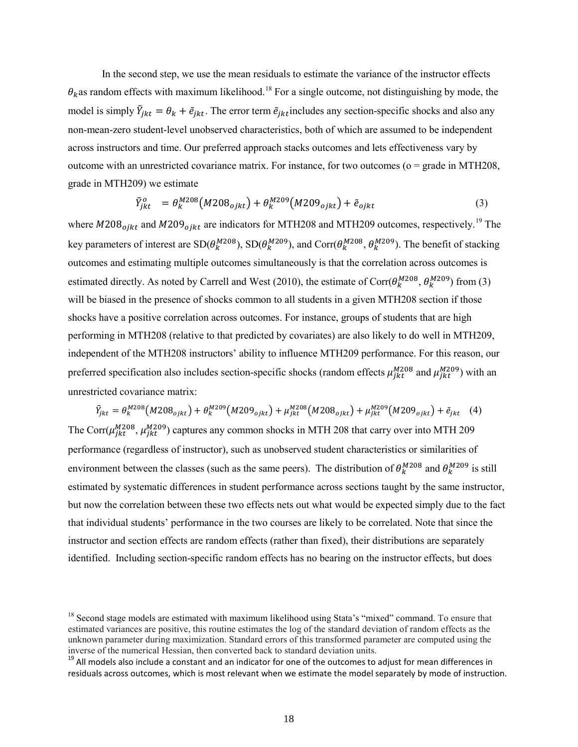In the second step, we use the mean residuals to estimate the variance of the instructor effects  $\theta_k$  as random effects with maximum likelihood.<sup>[18](#page-18-0)</sup> For a single outcome, not distinguishing by mode, the model is simply  $\tilde{Y}_{ikt} = \theta_k + \tilde{e}_{ikt}$ . The error term  $\tilde{e}_{ikt}$  includes any section-specific shocks and also any non-mean-zero student-level unobserved characteristics, both of which are assumed to be independent across instructors and time. Our preferred approach stacks outcomes and lets effectiveness vary by outcome with an unrestricted covariance matrix. For instance, for two outcomes ( $o =$  grade in MTH208, grade in MTH209) we estimate

$$
\tilde{Y}_{jkt}^o = \theta_k^{M208} (M208_{ojkt}) + \theta_k^{M209} (M209_{ojkt}) + \tilde{e}_{ojkt}
$$
\n(3)

where  $M208_{ojkt}$  and  $M209_{ojkt}$  are indicators for MTH208 and MTH209 outcomes, respectively.<sup>[19](#page-18-1)</sup> The key parameters of interest are  $SD(\theta_k^{M208})$ ,  $SD(\theta_k^{M209})$ , and  $Corr(\theta_k^{M208}, \theta_k^{M209})$ . The benefit of stacking outcomes and estimating multiple outcomes simultaneously is that the correlation across outcomes is estimated directly. As noted by Carrell and West (2010), the estimate of Corr( $\theta_k^{M208}$ ,  $\theta_k^{M209}$ ) from (3) will be biased in the presence of shocks common to all students in a given MTH208 section if those shocks have a positive correlation across outcomes. For instance, groups of students that are high performing in MTH208 (relative to that predicted by covariates) are also likely to do well in MTH209, independent of the MTH208 instructors' ability to influence MTH209 performance. For this reason, our preferred specification also includes section-specific shocks (random effects  $\mu_{jkt}^{M208}$  and  $\mu_{jkt}^{M209}$ ) with an unrestricted covariance matrix:

 $\tilde{Y}_{jkt} = \theta^{M208}_k \big( M208_{o jkt} \big) + \theta^{M209}_k \big( M209_{o jkt} \big) + \mu^{M208}_{jkt} \big( M208_{o jkt} \big) + \mu^{M209}_{jkt} \big( M209_{o jkt} \big) + \tilde{e}_{jkt} \quad (4)$ The Corr( $\mu_{jkt}^{M208}$ ,  $\mu_{jkt}^{M209}$ ) captures any common shocks in MTH 208 that carry over into MTH 209 performance (regardless of instructor), such as unobserved student characteristics or similarities of environment between the classes (such as the same peers). The distribution of  $\theta_k^{M208}$  and  $\theta_k^{M209}$  is still estimated by systematic differences in student performance across sections taught by the same instructor, but now the correlation between these two effects nets out what would be expected simply due to the fact that individual students' performance in the two courses are likely to be correlated. Note that since the instructor and section effects are random effects (rather than fixed), their distributions are separately identified. Including section-specific random effects has no bearing on the instructor effects, but does

<span id="page-18-0"></span><sup>&</sup>lt;sup>18</sup> Second stage models are estimated with maximum likelihood using Stata's "mixed" command. To ensure that estimated variances are positive, this routine estimates the log of the standard deviation of random effects as the unknown parameter during maximization. Standard errors of this transformed parameter are computed using the inverse of the numerical Hessian, then converted back to standard deviation units.

<span id="page-18-1"></span><sup>&</sup>lt;sup>19</sup> All models also include a constant and an indicator for one of the outcomes to adjust for mean differences in residuals across outcomes, which is most relevant when we estimate the model separately by mode of instruction.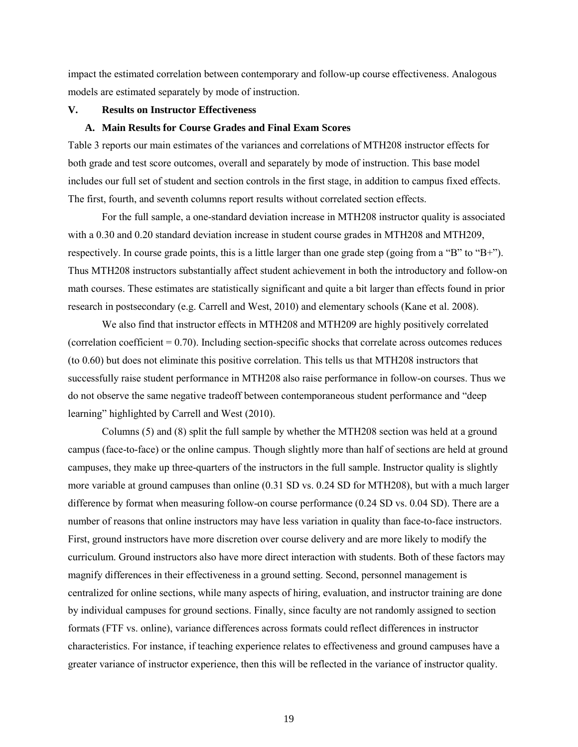impact the estimated correlation between contemporary and follow-up course effectiveness. Analogous models are estimated separately by mode of instruction.

#### **V. Results on Instructor Effectiveness**

#### **A. Main Results for Course Grades and Final Exam Scores**

Table 3 reports our main estimates of the variances and correlations of MTH208 instructor effects for both grade and test score outcomes, overall and separately by mode of instruction. This base model includes our full set of student and section controls in the first stage, in addition to campus fixed effects. The first, fourth, and seventh columns report results without correlated section effects.

For the full sample, a one-standard deviation increase in MTH208 instructor quality is associated with a 0.30 and 0.20 standard deviation increase in student course grades in MTH208 and MTH209, respectively. In course grade points, this is a little larger than one grade step (going from a "B" to "B+"). Thus MTH208 instructors substantially affect student achievement in both the introductory and follow-on math courses. These estimates are statistically significant and quite a bit larger than effects found in prior research in postsecondary (e.g. Carrell and West, 2010) and elementary schools (Kane et al. 2008).

We also find that instructor effects in MTH208 and MTH209 are highly positively correlated (correlation coefficient  $= 0.70$ ). Including section-specific shocks that correlate across outcomes reduces (to 0.60) but does not eliminate this positive correlation. This tells us that MTH208 instructors that successfully raise student performance in MTH208 also raise performance in follow-on courses. Thus we do not observe the same negative tradeoff between contemporaneous student performance and "deep learning" highlighted by Carrell and West (2010).

Columns (5) and (8) split the full sample by whether the MTH208 section was held at a ground campus (face-to-face) or the online campus. Though slightly more than half of sections are held at ground campuses, they make up three-quarters of the instructors in the full sample. Instructor quality is slightly more variable at ground campuses than online (0.31 SD vs. 0.24 SD for MTH208), but with a much larger difference by format when measuring follow-on course performance (0.24 SD vs. 0.04 SD). There are a number of reasons that online instructors may have less variation in quality than face-to-face instructors. First, ground instructors have more discretion over course delivery and are more likely to modify the curriculum. Ground instructors also have more direct interaction with students. Both of these factors may magnify differences in their effectiveness in a ground setting. Second, personnel management is centralized for online sections, while many aspects of hiring, evaluation, and instructor training are done by individual campuses for ground sections. Finally, since faculty are not randomly assigned to section formats (FTF vs. online), variance differences across formats could reflect differences in instructor characteristics. For instance, if teaching experience relates to effectiveness and ground campuses have a greater variance of instructor experience, then this will be reflected in the variance of instructor quality.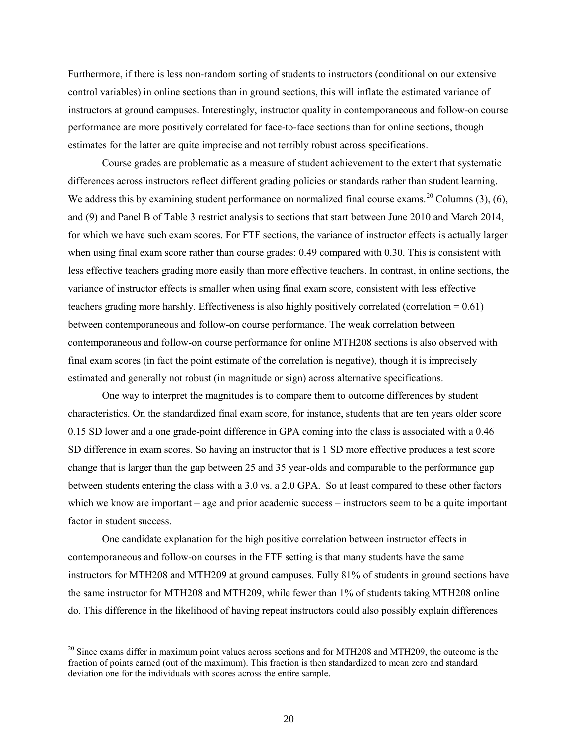Furthermore, if there is less non-random sorting of students to instructors (conditional on our extensive control variables) in online sections than in ground sections, this will inflate the estimated variance of instructors at ground campuses. Interestingly, instructor quality in contemporaneous and follow-on course performance are more positively correlated for face-to-face sections than for online sections, though estimates for the latter are quite imprecise and not terribly robust across specifications.

Course grades are problematic as a measure of student achievement to the extent that systematic differences across instructors reflect different grading policies or standards rather than student learning. We address this by examining student performance on normalized final course exams.<sup>[20](#page-20-0)</sup> Columns (3), (6), and (9) and Panel B of Table 3 restrict analysis to sections that start between June 2010 and March 2014, for which we have such exam scores. For FTF sections, the variance of instructor effects is actually larger when using final exam score rather than course grades: 0.49 compared with 0.30. This is consistent with less effective teachers grading more easily than more effective teachers. In contrast, in online sections, the variance of instructor effects is smaller when using final exam score, consistent with less effective teachers grading more harshly. Effectiveness is also highly positively correlated (correlation = 0.61) between contemporaneous and follow-on course performance. The weak correlation between contemporaneous and follow-on course performance for online MTH208 sections is also observed with final exam scores (in fact the point estimate of the correlation is negative), though it is imprecisely estimated and generally not robust (in magnitude or sign) across alternative specifications.

One way to interpret the magnitudes is to compare them to outcome differences by student characteristics. On the standardized final exam score, for instance, students that are ten years older score 0.15 SD lower and a one grade-point difference in GPA coming into the class is associated with a 0.46 SD difference in exam scores. So having an instructor that is 1 SD more effective produces a test score change that is larger than the gap between 25 and 35 year-olds and comparable to the performance gap between students entering the class with a 3.0 vs. a 2.0 GPA. So at least compared to these other factors which we know are important – age and prior academic success – instructors seem to be a quite important factor in student success.

One candidate explanation for the high positive correlation between instructor effects in contemporaneous and follow-on courses in the FTF setting is that many students have the same instructors for MTH208 and MTH209 at ground campuses. Fully 81% of students in ground sections have the same instructor for MTH208 and MTH209, while fewer than 1% of students taking MTH208 online do. This difference in the likelihood of having repeat instructors could also possibly explain differences

<span id="page-20-0"></span> $^{20}$  Since exams differ in maximum point values across sections and for MTH208 and MTH209, the outcome is the fraction of points earned (out of the maximum). This fraction is then standardized to mean zero and standard deviation one for the individuals with scores across the entire sample.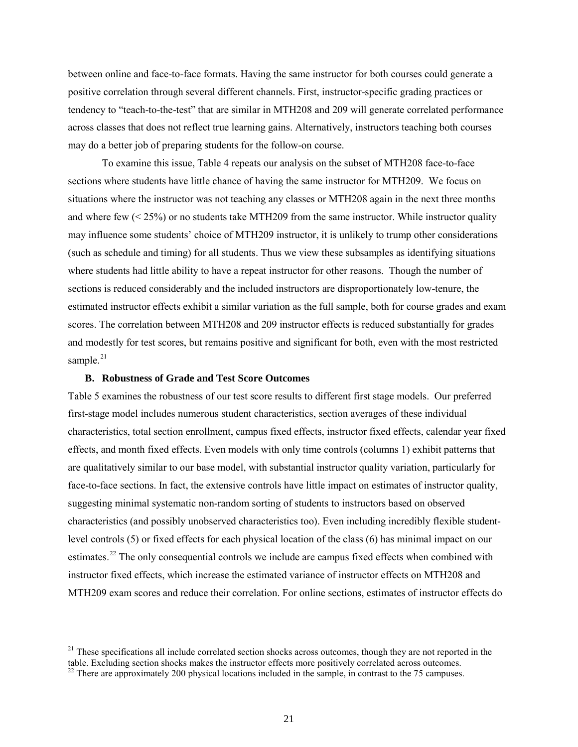between online and face-to-face formats. Having the same instructor for both courses could generate a positive correlation through several different channels. First, instructor-specific grading practices or tendency to "teach-to-the-test" that are similar in MTH208 and 209 will generate correlated performance across classes that does not reflect true learning gains. Alternatively, instructors teaching both courses may do a better job of preparing students for the follow-on course.

To examine this issue, Table 4 repeats our analysis on the subset of MTH208 face-to-face sections where students have little chance of having the same instructor for MTH209. We focus on situations where the instructor was not teaching any classes or MTH208 again in the next three months and where few  $($  < 25%) or no students take MTH209 from the same instructor. While instructor quality may influence some students' choice of MTH209 instructor, it is unlikely to trump other considerations (such as schedule and timing) for all students. Thus we view these subsamples as identifying situations where students had little ability to have a repeat instructor for other reasons. Though the number of sections is reduced considerably and the included instructors are disproportionately low-tenure, the estimated instructor effects exhibit a similar variation as the full sample, both for course grades and exam scores. The correlation between MTH208 and 209 instructor effects is reduced substantially for grades and modestly for test scores, but remains positive and significant for both, even with the most restricted sample.<sup>[21](#page-21-0)</sup>

#### **B. Robustness of Grade and Test Score Outcomes**

Table 5 examines the robustness of our test score results to different first stage models. Our preferred first-stage model includes numerous student characteristics, section averages of these individual characteristics, total section enrollment, campus fixed effects, instructor fixed effects, calendar year fixed effects, and month fixed effects. Even models with only time controls (columns 1) exhibit patterns that are qualitatively similar to our base model, with substantial instructor quality variation, particularly for face-to-face sections. In fact, the extensive controls have little impact on estimates of instructor quality, suggesting minimal systematic non-random sorting of students to instructors based on observed characteristics (and possibly unobserved characteristics too). Even including incredibly flexible studentlevel controls (5) or fixed effects for each physical location of the class (6) has minimal impact on our estimates.<sup>[22](#page-21-1)</sup> The only consequential controls we include are campus fixed effects when combined with instructor fixed effects, which increase the estimated variance of instructor effects on MTH208 and MTH209 exam scores and reduce their correlation. For online sections, estimates of instructor effects do

<span id="page-21-0"></span> $21$  These specifications all include correlated section shocks across outcomes, though they are not reported in the table. Excluding section shocks makes the instructor effects more positively correlated across outcomes.

<span id="page-21-1"></span><sup>&</sup>lt;sup>22</sup> There are approximately 200 physical locations included in the sample, in contrast to the 75 campuses.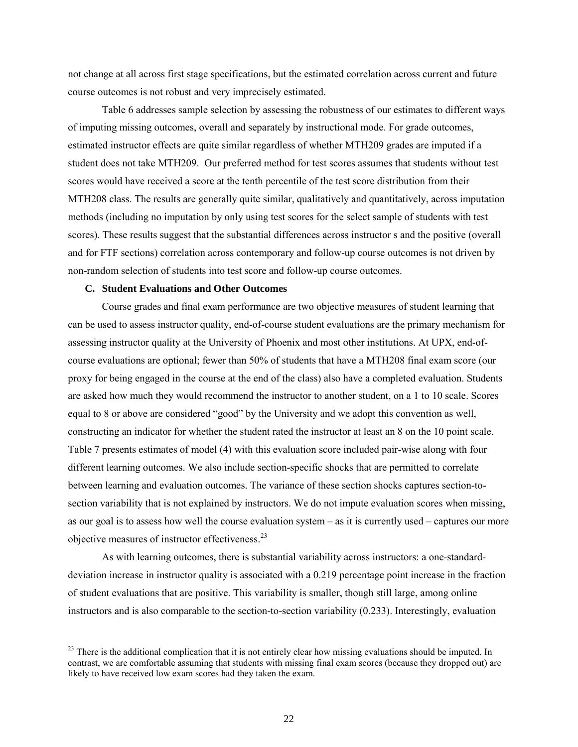not change at all across first stage specifications, but the estimated correlation across current and future course outcomes is not robust and very imprecisely estimated.

Table 6 addresses sample selection by assessing the robustness of our estimates to different ways of imputing missing outcomes, overall and separately by instructional mode. For grade outcomes, estimated instructor effects are quite similar regardless of whether MTH209 grades are imputed if a student does not take MTH209. Our preferred method for test scores assumes that students without test scores would have received a score at the tenth percentile of the test score distribution from their MTH208 class. The results are generally quite similar, qualitatively and quantitatively, across imputation methods (including no imputation by only using test scores for the select sample of students with test scores). These results suggest that the substantial differences across instructor s and the positive (overall and for FTF sections) correlation across contemporary and follow-up course outcomes is not driven by non-random selection of students into test score and follow-up course outcomes.

#### **C. Student Evaluations and Other Outcomes**

Course grades and final exam performance are two objective measures of student learning that can be used to assess instructor quality, end-of-course student evaluations are the primary mechanism for assessing instructor quality at the University of Phoenix and most other institutions. At UPX, end-ofcourse evaluations are optional; fewer than 50% of students that have a MTH208 final exam score (our proxy for being engaged in the course at the end of the class) also have a completed evaluation. Students are asked how much they would recommend the instructor to another student, on a 1 to 10 scale. Scores equal to 8 or above are considered "good" by the University and we adopt this convention as well, constructing an indicator for whether the student rated the instructor at least an 8 on the 10 point scale. Table 7 presents estimates of model (4) with this evaluation score included pair-wise along with four different learning outcomes. We also include section-specific shocks that are permitted to correlate between learning and evaluation outcomes. The variance of these section shocks captures section-tosection variability that is not explained by instructors. We do not impute evaluation scores when missing, as our goal is to assess how well the course evaluation system – as it is currently used – captures our more objective measures of instructor effectiveness.[23](#page-22-0)

As with learning outcomes, there is substantial variability across instructors: a one-standarddeviation increase in instructor quality is associated with a 0.219 percentage point increase in the fraction of student evaluations that are positive. This variability is smaller, though still large, among online instructors and is also comparable to the section-to-section variability (0.233). Interestingly, evaluation

<span id="page-22-0"></span> $^{23}$  There is the additional complication that it is not entirely clear how missing evaluations should be imputed. In contrast, we are comfortable assuming that students with missing final exam scores (because they dropped out) are likely to have received low exam scores had they taken the exam.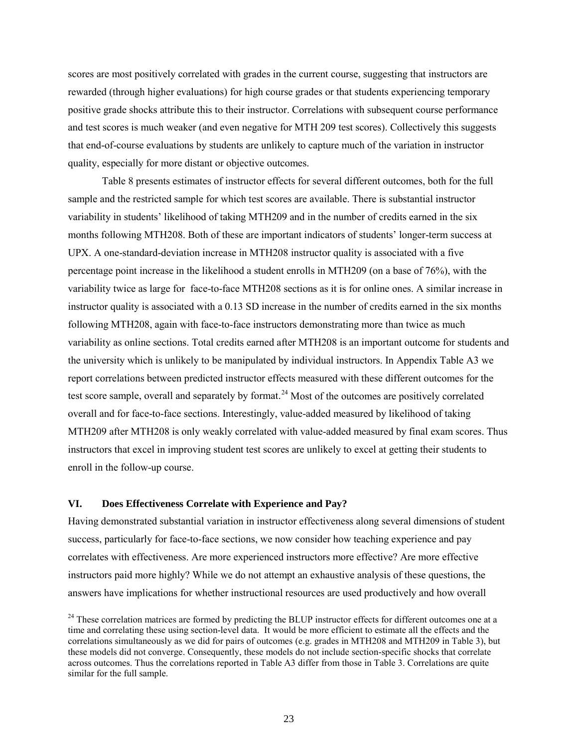scores are most positively correlated with grades in the current course, suggesting that instructors are rewarded (through higher evaluations) for high course grades or that students experiencing temporary positive grade shocks attribute this to their instructor. Correlations with subsequent course performance and test scores is much weaker (and even negative for MTH 209 test scores). Collectively this suggests that end-of-course evaluations by students are unlikely to capture much of the variation in instructor quality, especially for more distant or objective outcomes.

Table 8 presents estimates of instructor effects for several different outcomes, both for the full sample and the restricted sample for which test scores are available. There is substantial instructor variability in students' likelihood of taking MTH209 and in the number of credits earned in the six months following MTH208. Both of these are important indicators of students' longer-term success at UPX. A one-standard-deviation increase in MTH208 instructor quality is associated with a five percentage point increase in the likelihood a student enrolls in MTH209 (on a base of 76%), with the variability twice as large for face-to-face MTH208 sections as it is for online ones. A similar increase in instructor quality is associated with a 0.13 SD increase in the number of credits earned in the six months following MTH208, again with face-to-face instructors demonstrating more than twice as much variability as online sections. Total credits earned after MTH208 is an important outcome for students and the university which is unlikely to be manipulated by individual instructors. In Appendix Table A3 we report correlations between predicted instructor effects measured with these different outcomes for the test score sample, overall and separately by format.<sup>[24](#page-23-0)</sup> Most of the outcomes are positively correlated overall and for face-to-face sections. Interestingly, value-added measured by likelihood of taking MTH209 after MTH208 is only weakly correlated with value-added measured by final exam scores. Thus instructors that excel in improving student test scores are unlikely to excel at getting their students to enroll in the follow-up course.

## **VI. Does Effectiveness Correlate with Experience and Pay?**

Having demonstrated substantial variation in instructor effectiveness along several dimensions of student success, particularly for face-to-face sections, we now consider how teaching experience and pay correlates with effectiveness. Are more experienced instructors more effective? Are more effective instructors paid more highly? While we do not attempt an exhaustive analysis of these questions, the answers have implications for whether instructional resources are used productively and how overall

<span id="page-23-0"></span> $24$  These correlation matrices are formed by predicting the BLUP instructor effects for different outcomes one at a time and correlating these using section-level data. It would be more efficient to estimate all the effects and the correlations simultaneously as we did for pairs of outcomes (e.g. grades in MTH208 and MTH209 in Table 3), but these models did not converge. Consequently, these models do not include section-specific shocks that correlate across outcomes. Thus the correlations reported in Table A3 differ from those in Table 3. Correlations are quite similar for the full sample.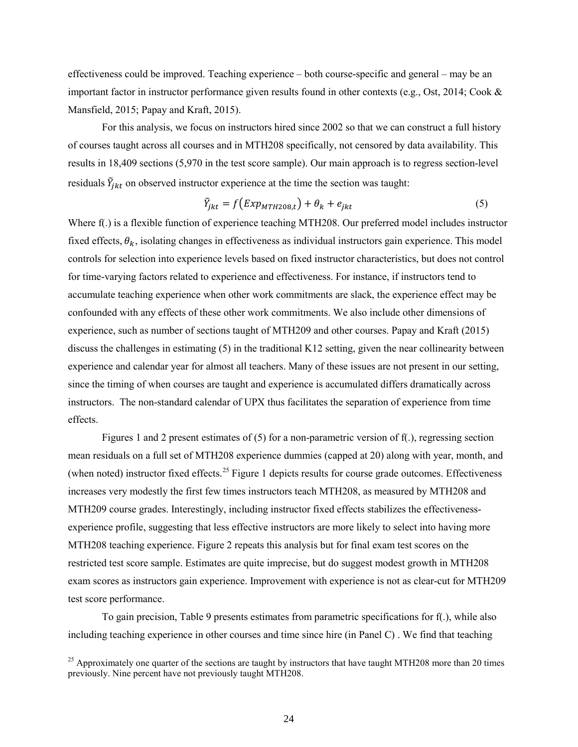effectiveness could be improved. Teaching experience – both course-specific and general – may be an important factor in instructor performance given results found in other contexts (e.g., Ost, 2014; Cook & Mansfield, 2015; Papay and Kraft, 2015).

For this analysis, we focus on instructors hired since 2002 so that we can construct a full history of courses taught across all courses and in MTH208 specifically, not censored by data availability. This results in 18,409 sections (5,970 in the test score sample). Our main approach is to regress section-level residuals  $\tilde{Y}_{jkt}$  on observed instructor experience at the time the section was taught:

$$
\tilde{Y}_{jkt} = f\left(Exp_{MTH208,t}\right) + \theta_k + e_{jkt} \tag{5}
$$

Where f(.) is a flexible function of experience teaching MTH208. Our preferred model includes instructor fixed effects,  $\theta_k$ , isolating changes in effectiveness as individual instructors gain experience. This model controls for selection into experience levels based on fixed instructor characteristics, but does not control for time-varying factors related to experience and effectiveness. For instance, if instructors tend to accumulate teaching experience when other work commitments are slack, the experience effect may be confounded with any effects of these other work commitments. We also include other dimensions of experience, such as number of sections taught of MTH209 and other courses. Papay and Kraft (2015) discuss the challenges in estimating (5) in the traditional K12 setting, given the near collinearity between experience and calendar year for almost all teachers. Many of these issues are not present in our setting, since the timing of when courses are taught and experience is accumulated differs dramatically across instructors. The non-standard calendar of UPX thus facilitates the separation of experience from time effects.

Figures 1 and 2 present estimates of (5) for a non-parametric version of f(.), regressing section mean residuals on a full set of MTH208 experience dummies (capped at 20) along with year, month, and (when noted) instructor fixed effects.<sup>[25](#page-24-0)</sup> Figure 1 depicts results for course grade outcomes. Effectiveness increases very modestly the first few times instructors teach MTH208, as measured by MTH208 and MTH209 course grades. Interestingly, including instructor fixed effects stabilizes the effectivenessexperience profile, suggesting that less effective instructors are more likely to select into having more MTH208 teaching experience. Figure 2 repeats this analysis but for final exam test scores on the restricted test score sample. Estimates are quite imprecise, but do suggest modest growth in MTH208 exam scores as instructors gain experience. Improvement with experience is not as clear-cut for MTH209 test score performance.

To gain precision, Table 9 presents estimates from parametric specifications for f(.), while also including teaching experience in other courses and time since hire (in Panel C) . We find that teaching

<span id="page-24-0"></span><sup>&</sup>lt;sup>25</sup> Approximately one quarter of the sections are taught by instructors that have taught MTH208 more than 20 times previously. Nine percent have not previously taught MTH208.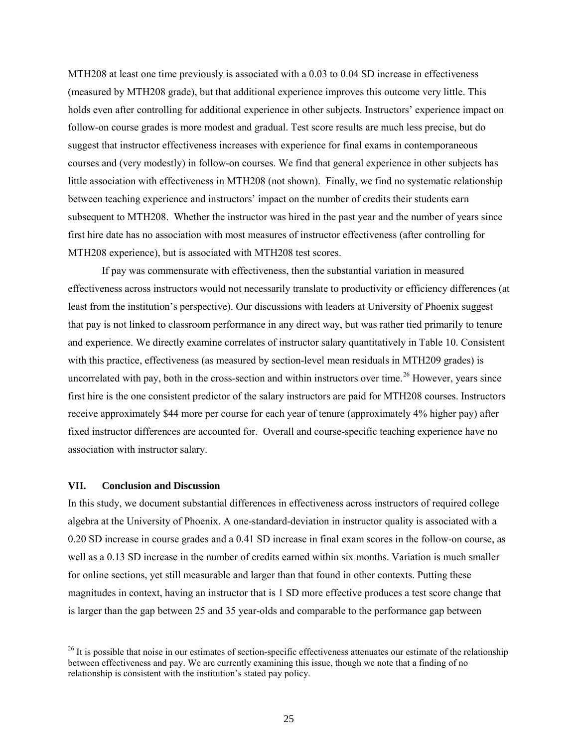MTH208 at least one time previously is associated with a 0.03 to 0.04 SD increase in effectiveness (measured by MTH208 grade), but that additional experience improves this outcome very little. This holds even after controlling for additional experience in other subjects. Instructors' experience impact on follow-on course grades is more modest and gradual. Test score results are much less precise, but do suggest that instructor effectiveness increases with experience for final exams in contemporaneous courses and (very modestly) in follow-on courses. We find that general experience in other subjects has little association with effectiveness in MTH208 (not shown). Finally, we find no systematic relationship between teaching experience and instructors' impact on the number of credits their students earn subsequent to MTH208. Whether the instructor was hired in the past year and the number of years since first hire date has no association with most measures of instructor effectiveness (after controlling for MTH208 experience), but is associated with MTH208 test scores.

If pay was commensurate with effectiveness, then the substantial variation in measured effectiveness across instructors would not necessarily translate to productivity or efficiency differences (at least from the institution's perspective). Our discussions with leaders at University of Phoenix suggest that pay is not linked to classroom performance in any direct way, but was rather tied primarily to tenure and experience. We directly examine correlates of instructor salary quantitatively in Table 10. Consistent with this practice, effectiveness (as measured by section-level mean residuals in MTH209 grades) is uncorrelated with pay, both in the cross-section and within instructors over time.<sup>[26](#page-25-0)</sup> However, years since first hire is the one consistent predictor of the salary instructors are paid for MTH208 courses. Instructors receive approximately \$44 more per course for each year of tenure (approximately 4% higher pay) after fixed instructor differences are accounted for. Overall and course-specific teaching experience have no association with instructor salary.

## **VII. Conclusion and Discussion**

In this study, we document substantial differences in effectiveness across instructors of required college algebra at the University of Phoenix. A one-standard-deviation in instructor quality is associated with a 0.20 SD increase in course grades and a 0.41 SD increase in final exam scores in the follow-on course, as well as a 0.13 SD increase in the number of credits earned within six months. Variation is much smaller for online sections, yet still measurable and larger than that found in other contexts. Putting these magnitudes in context, having an instructor that is 1 SD more effective produces a test score change that is larger than the gap between 25 and 35 year-olds and comparable to the performance gap between

<span id="page-25-0"></span> $26$  It is possible that noise in our estimates of section-specific effectiveness attenuates our estimate of the relationship between effectiveness and pay. We are currently examining this issue, though we note that a finding of no relationship is consistent with the institution's stated pay policy.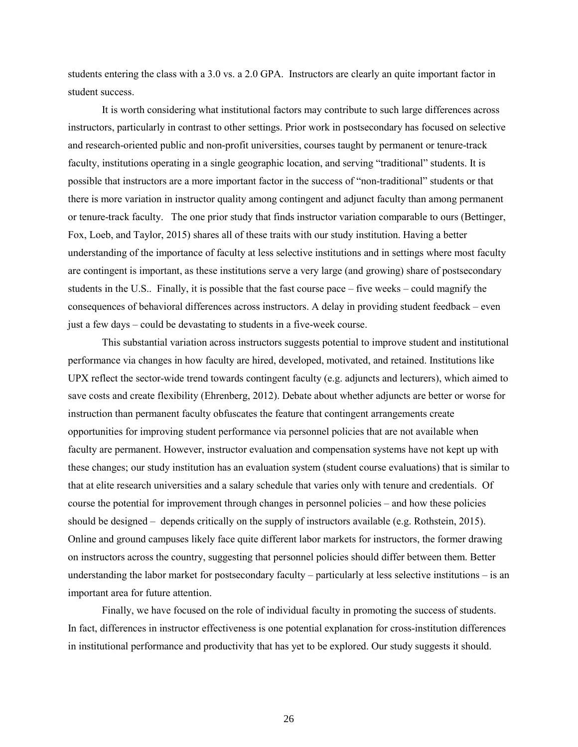students entering the class with a 3.0 vs. a 2.0 GPA. Instructors are clearly an quite important factor in student success.

It is worth considering what institutional factors may contribute to such large differences across instructors, particularly in contrast to other settings. Prior work in postsecondary has focused on selective and research-oriented public and non-profit universities, courses taught by permanent or tenure-track faculty, institutions operating in a single geographic location, and serving "traditional" students. It is possible that instructors are a more important factor in the success of "non-traditional" students or that there is more variation in instructor quality among contingent and adjunct faculty than among permanent or tenure-track faculty. The one prior study that finds instructor variation comparable to ours (Bettinger, Fox, Loeb, and Taylor, 2015) shares all of these traits with our study institution. Having a better understanding of the importance of faculty at less selective institutions and in settings where most faculty are contingent is important, as these institutions serve a very large (and growing) share of postsecondary students in the U.S.. Finally, it is possible that the fast course pace – five weeks – could magnify the consequences of behavioral differences across instructors. A delay in providing student feedback – even just a few days – could be devastating to students in a five-week course.

This substantial variation across instructors suggests potential to improve student and institutional performance via changes in how faculty are hired, developed, motivated, and retained. Institutions like UPX reflect the sector-wide trend towards contingent faculty (e.g. adjuncts and lecturers), which aimed to save costs and create flexibility (Ehrenberg, 2012). Debate about whether adjuncts are better or worse for instruction than permanent faculty obfuscates the feature that contingent arrangements create opportunities for improving student performance via personnel policies that are not available when faculty are permanent. However, instructor evaluation and compensation systems have not kept up with these changes; our study institution has an evaluation system (student course evaluations) that is similar to that at elite research universities and a salary schedule that varies only with tenure and credentials. Of course the potential for improvement through changes in personnel policies – and how these policies should be designed – depends critically on the supply of instructors available (e.g. Rothstein, 2015). Online and ground campuses likely face quite different labor markets for instructors, the former drawing on instructors across the country, suggesting that personnel policies should differ between them. Better understanding the labor market for postsecondary faculty – particularly at less selective institutions – is an important area for future attention.

Finally, we have focused on the role of individual faculty in promoting the success of students. In fact, differences in instructor effectiveness is one potential explanation for cross-institution differences in institutional performance and productivity that has yet to be explored. Our study suggests it should.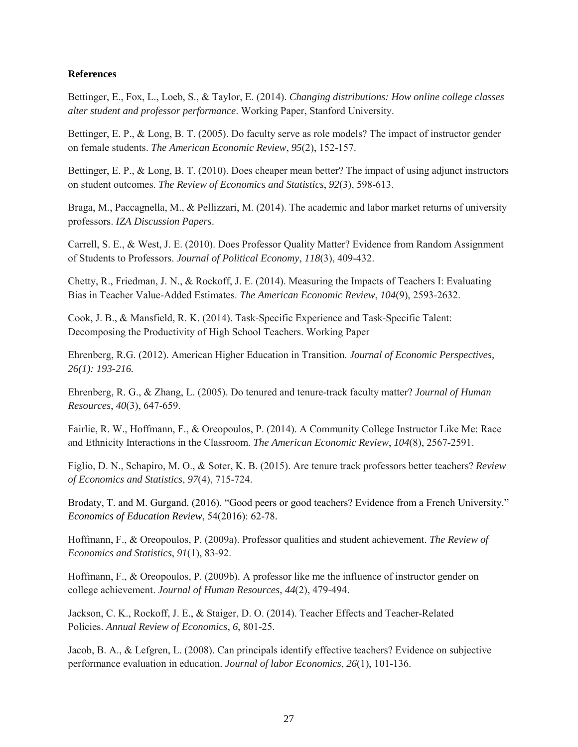## **References**

Bettinger, E., Fox, L., Loeb, S., & Taylor, E. (2014). *Changing distributions: How online college classes alter student and professor performance*. Working Paper, Stanford University.

Bettinger, E. P., & Long, B. T. (2005). Do faculty serve as role models? The impact of instructor gender on female students. *The American Economic Review*, *95*(2), 152-157.

Bettinger, E. P., & Long, B. T. (2010). Does cheaper mean better? The impact of using adjunct instructors on student outcomes. *The Review of Economics and Statistics*, *92*(3), 598-613.

Braga, M., Paccagnella, M., & Pellizzari, M. (2014). The academic and labor market returns of university professors. *IZA Discussion Papers*.

Carrell, S. E., & West, J. E. (2010). Does Professor Quality Matter? Evidence from Random Assignment of Students to Professors. *Journal of Political Economy*, *118*(3), 409-432.

Chetty, R., Friedman, J. N., & Rockoff, J. E. (2014). Measuring the Impacts of Teachers I: Evaluating Bias in Teacher Value-Added Estimates. *The American Economic Review*, *104*(9), 2593-2632.

Cook, J. B., & Mansfield, R. K. (2014). Task-Specific Experience and Task-Specific Talent: Decomposing the Productivity of High School Teachers. Working Paper

Ehrenberg, R.G. (2012). American Higher Education in Transition. *Journal of Economic Perspectives, 26(1): 193-216.* 

Ehrenberg, R. G., & Zhang, L. (2005). Do tenured and tenure-track faculty matter? *Journal of Human Resources*, *40*(3), 647-659.

Fairlie, R. W., Hoffmann, F., & Oreopoulos, P. (2014). A Community College Instructor Like Me: Race and Ethnicity Interactions in the Classroom. *The American Economic Review*, *104*(8), 2567-2591.

Figlio, D. N., Schapiro, M. O., & Soter, K. B. (2015). Are tenure track professors better teachers? *Review of Economics and Statistics*, *97*(4), 715-724.

Brodaty, T. and M. Gurgand. (2016). "Good peers or good teachers? Evidence from a French University." *Economics of Education Review*, 54(2016): 62-78.

Hoffmann, F., & Oreopoulos, P. (2009a). Professor qualities and student achievement. *The Review of Economics and Statistics*, *91*(1), 83-92.

Hoffmann, F., & Oreopoulos, P. (2009b). A professor like me the influence of instructor gender on college achievement. *Journal of Human Resources*, *44*(2), 479-494.

Jackson, C. K., Rockoff, J. E., & Staiger, D. O. (2014). Teacher Effects and Teacher-Related Policies. *Annual Review of Economics*, *6*, 801-25.

Jacob, B. A., & Lefgren, L. (2008). Can principals identify effective teachers? Evidence on subjective performance evaluation in education. *Journal of labor Economics*, *26*(1), 101-136.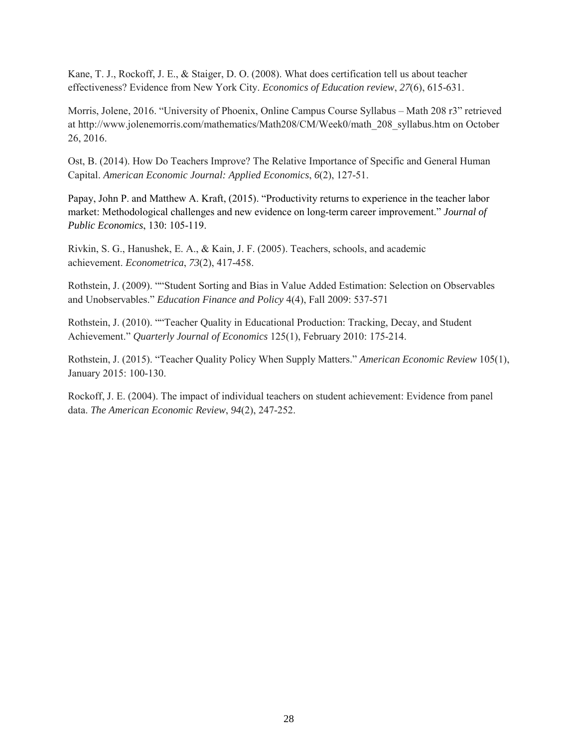Kane, T. J., Rockoff, J. E., & Staiger, D. O. (2008). What does certification tell us about teacher effectiveness? Evidence from New York City. *Economics of Education review*, *27*(6), 615-631.

Morris, Jolene, 2016. "University of Phoenix, Online Campus Course Syllabus – Math 208 r3" retrieved at http://www.jolenemorris.com/mathematics/Math208/CM/Week0/math\_208\_syllabus.htm on October 26, 2016.

Ost, B. (2014). How Do Teachers Improve? The Relative Importance of Specific and General Human Capital. *American Economic Journal: Applied Economics*, *6*(2), 127-51.

Papay, John P. and Matthew A. Kraft, (2015). "Productivity returns to experience in the teacher labor market: Methodological challenges and new evidence on long-term career improvement." *Journal of Public Economics*, 130: 105-119.

Rivkin, S. G., Hanushek, E. A., & Kain, J. F. (2005). Teachers, schools, and academic achievement. *Econometrica*, *73*(2), 417-458.

Rothstein, J. (2009). ""Student Sorting and Bias in Value Added Estimation: Selection on Observables and Unobservables." *Education Finance and Policy* 4(4), Fall 2009: 537-571

Rothstein, J. (2010). ""Teacher Quality in Educational Production: Tracking, Decay, and Student Achievement." *Quarterly Journal of Economics* 125(1), February 2010: 175-214.

Rothstein, J. (2015). "Teacher Quality Policy When Supply Matters." *American Economic Review* 105(1), January 2015: 100-130.

Rockoff, J. E. (2004). The impact of individual teachers on student achievement: Evidence from panel data. *The American Economic Review*, *94*(2), 247-252.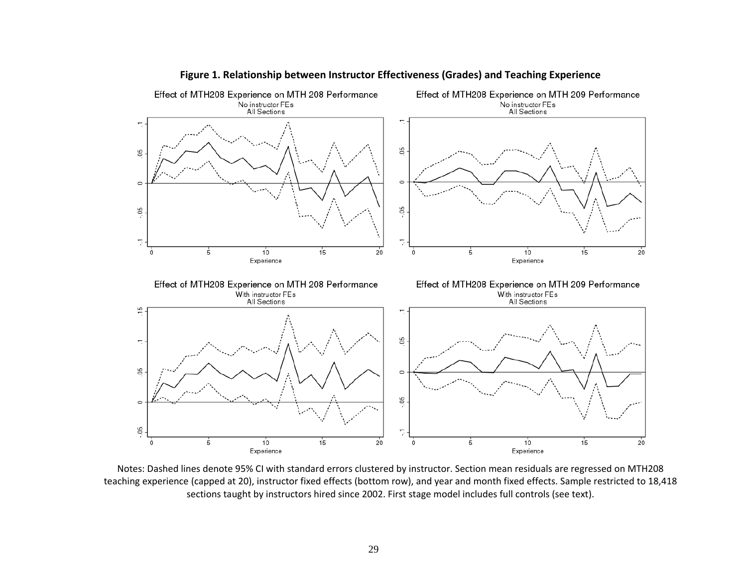

**Figure 1. Relationship between Instructor Effectiveness (Grades) and Teaching Experience**

Notes: Dashed lines denote 95% CI with standard errors clustered by instructor. Section mean residuals are regressed on MTH208 teaching experience (capped at 20), instructor fixed effects (bottom row), and year and month fixed effects. Sample restricted to 18,418 sections taught by instructors hired since 2002. First stage model includes full controls (see text).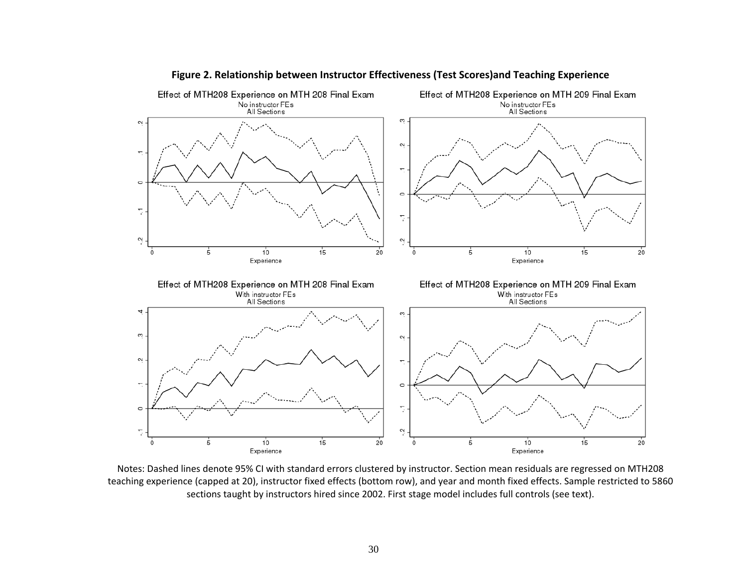

**Figure 2. Relationship between Instructor Effectiveness (Test Scores)and Teaching Experience**

Notes: Dashed lines denote 95% CI with standard errors clustered by instructor. Section mean residuals are regressed on MTH208 teaching experience (capped at 20), instructor fixed effects (bottom row), and year and month fixed effects. Sample restricted to 5860 sections taught by instructors hired since 2002. First stage model includes full controls (see text).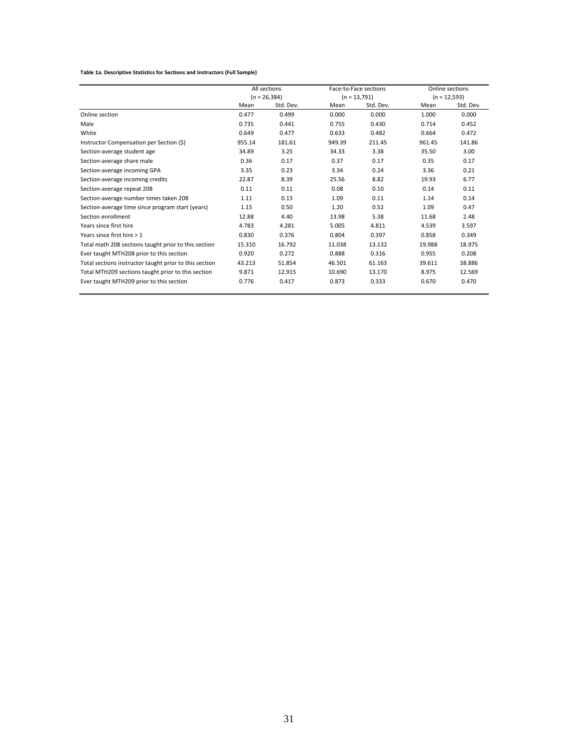#### **Table 1a. Descriptive Statistics for Sections and Instructors (Full Sample)**

|                                                        |                 | All sections |        | Face-to-Face sections |        | Online sections |
|--------------------------------------------------------|-----------------|--------------|--------|-----------------------|--------|-----------------|
|                                                        | $(n = 26, 384)$ |              |        | $(n = 13,791)$        |        | $(n = 12,593)$  |
|                                                        | Mean            | Std. Dev.    | Mean   | Std. Dev.             | Mean   | Std. Dev.       |
| Online section                                         | 0.477           | 0.499        | 0.000  | 0.000                 | 1.000  | 0.000           |
| Male                                                   | 0.735           | 0.441        | 0.755  | 0.430                 | 0.714  | 0.452           |
| White                                                  | 0.649           | 0.477        | 0.633  | 0.482                 | 0.664  | 0.472           |
| Instructor Compensation per Section (\$)               | 955.14          | 181.61       | 949.39 | 211.45                | 961.45 | 141.86          |
| Section-average student age                            | 34.89           | 3.25         | 34.33  | 3.38                  | 35.50  | 3.00            |
| Section-average share male                             | 0.36            | 0.17         | 0.37   | 0.17                  | 0.35   | 0.17            |
| Section-average incoming GPA                           | 3.35            | 0.23         | 3.34   | 0.24                  | 3.36   | 0.21            |
| Section-average incoming credits                       | 22.87           | 8.39         | 25.56  | 8.82                  | 19.93  | 6.77            |
| Section-average repeat 208                             | 0.11            | 0.11         | 0.08   | 0.10                  | 0.14   | 0.11            |
| Section-average number times taken 208                 | 1.11            | 0.13         | 1.09   | 0.11                  | 1.14   | 0.14            |
| Section-average time since program start (years)       | 1.15            | 0.50         | 1.20   | 0.52                  | 1.09   | 0.47            |
| Section enrollment                                     | 12.88           | 4.40         | 13.98  | 5.38                  | 11.68  | 2.48            |
| Years since first hire                                 | 4.783           | 4.281        | 5.005  | 4.811                 | 4.539  | 3.597           |
| Years since first hire $> 1$                           | 0.830           | 0.376        | 0.804  | 0.397                 | 0.858  | 0.349           |
| Total math 208 sections taught prior to this section   | 15.310          | 16.792       | 11.038 | 13.132                | 19.988 | 18.975          |
| Ever taught MTH208 prior to this section               | 0.920           | 0.272        | 0.888  | 0.316                 | 0.955  | 0.208           |
| Total sections instructor taught prior to this section | 43.213          | 51.854       | 46.501 | 61.163                | 39.611 | 38.886          |
| Total MTH209 sections taught prior to this section     | 9.871           | 12.915       | 10.690 | 13.170                | 8.975  | 12.569          |
| Ever taught MTH209 prior to this section               | 0.776           | 0.417        | 0.873  | 0.333                 | 0.670  | 0.470           |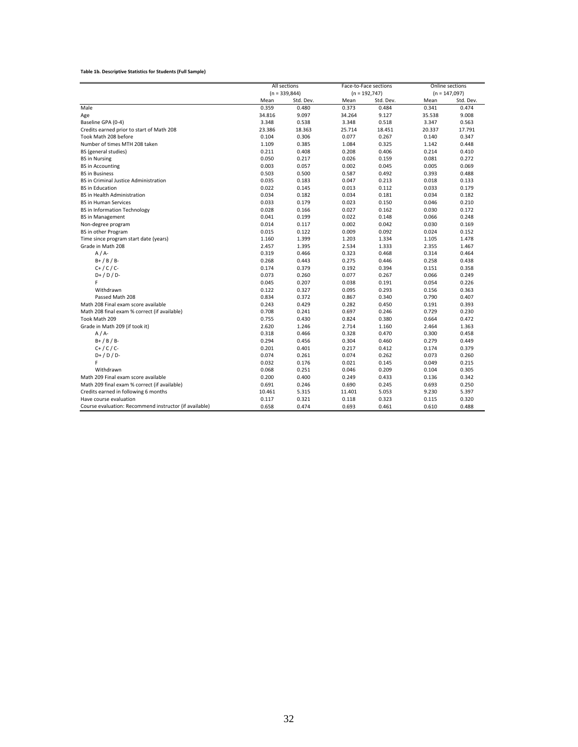**Table 1b. Descriptive Statistics for Students (Full Sample)**

|                                                        | All sections |                 |        | Face-to-Face sections | Online sections |                 |  |
|--------------------------------------------------------|--------------|-----------------|--------|-----------------------|-----------------|-----------------|--|
|                                                        |              | $(n = 339,844)$ |        | $(n = 192, 747)$      |                 | $(n = 147,097)$ |  |
|                                                        | Mean         | Std. Dev.       | Mean   | Std. Dev.             | Mean            | Std. Dev.       |  |
| Male                                                   | 0.359        | 0.480           | 0.373  | 0.484                 | 0.341           | 0.474           |  |
| Age                                                    | 34.816       | 9.097           | 34.264 | 9.127                 | 35.538          | 9.008           |  |
| Baseline GPA (0-4)                                     | 3.348        | 0.538           | 3.348  | 0.518                 | 3.347           | 0.563           |  |
| Credits earned prior to start of Math 208              | 23.386       | 18.363          | 25.714 | 18.451                | 20.337          | 17.791          |  |
| Took Math 208 before                                   | 0.104        | 0.306           | 0.077  | 0.267                 | 0.140           | 0.347           |  |
| Number of times MTH 208 taken                          | 1.109        | 0.385           | 1.084  | 0.325                 | 1.142           | 0.448           |  |
| BS (general studies)                                   | 0.211        | 0.408           | 0.208  | 0.406                 | 0.214           | 0.410           |  |
| <b>BS</b> in Nursing                                   | 0.050        | 0.217           | 0.026  | 0.159                 | 0.081           | 0.272           |  |
| <b>BS</b> in Accounting                                | 0.003        | 0.057           | 0.002  | 0.045                 | 0.005           | 0.069           |  |
| <b>BS in Business</b>                                  | 0.503        | 0.500           | 0.587  | 0.492                 | 0.393           | 0.488           |  |
| <b>BS in Criminal Justice Administration</b>           | 0.035        | 0.183           | 0.047  | 0.213                 | 0.018           | 0.133           |  |
| <b>BS</b> in Education                                 | 0.022        | 0.145           | 0.013  | 0.112                 | 0.033           | 0.179           |  |
| <b>BS in Health Administration</b>                     | 0.034        | 0.182           | 0.034  | 0.181                 | 0.034           | 0.182           |  |
| <b>BS in Human Services</b>                            | 0.033        | 0.179           | 0.023  | 0.150                 | 0.046           | 0.210           |  |
| <b>BS in Information Technology</b>                    | 0.028        | 0.166           | 0.027  | 0.162                 | 0.030           | 0.172           |  |
| <b>BS</b> in Management                                | 0.041        | 0.199           | 0.022  | 0.148                 | 0.066           | 0.248           |  |
| Non-degree program                                     | 0.014        | 0.117           | 0.002  | 0.042                 | 0.030           | 0.169           |  |
| <b>BS</b> in other Program                             | 0.015        | 0.122           | 0.009  | 0.092                 | 0.024           | 0.152           |  |
| Time since program start date (years)                  | 1.160        | 1.399           | 1.203  | 1.334                 | 1.105           | 1.478           |  |
| Grade in Math 208                                      | 2.457        | 1.395           | 2.534  | 1.333                 | 2.355           | 1.467           |  |
| $A/A$ -                                                | 0.319        | 0.466           | 0.323  | 0.468                 | 0.314           | 0.464           |  |
| $B+$ / B / B-                                          | 0.268        | 0.443           | 0.275  | 0.446                 | 0.258           | 0.438           |  |
| $C+$ / $C$ / $C-$                                      | 0.174        | 0.379           | 0.192  | 0.394                 | 0.151           | 0.358           |  |
| $D+/D/D$ -                                             | 0.073        | 0.260           | 0.077  | 0.267                 | 0.066           | 0.249           |  |
| F                                                      | 0.045        | 0.207           | 0.038  | 0.191                 | 0.054           | 0.226           |  |
| Withdrawn                                              | 0.122        | 0.327           | 0.095  | 0.293                 | 0.156           | 0.363           |  |
| Passed Math 208                                        | 0.834        | 0.372           | 0.867  | 0.340                 | 0.790           | 0.407           |  |
| Math 208 Final exam score available                    | 0.243        | 0.429           | 0.282  | 0.450                 | 0.191           | 0.393           |  |
| Math 208 final exam % correct (if available)           | 0.708        | 0.241           | 0.697  | 0.246                 | 0.729           | 0.230           |  |
| Took Math 209                                          | 0.755        | 0.430           | 0.824  | 0.380                 | 0.664           | 0.472           |  |
| Grade in Math 209 (if took it)                         | 2.620        | 1.246           | 2.714  | 1.160                 | 2.464           | 1.363           |  |
| $A/A$ -                                                | 0.318        | 0.466           | 0.328  | 0.470                 | 0.300           | 0.458           |  |
| $B+$ / B / B-                                          | 0.294        | 0.456           | 0.304  | 0.460                 | 0.279           | 0.449           |  |
| $C+$ / $C$ / $C-$                                      | 0.201        | 0.401           | 0.217  | 0.412                 | 0.174           | 0.379           |  |
| $D+/D/D$ -                                             | 0.074        | 0.261           | 0.074  | 0.262                 | 0.073           | 0.260           |  |
| F                                                      | 0.032        | 0.176           | 0.021  | 0.145                 | 0.049           | 0.215           |  |
| Withdrawn                                              | 0.068        | 0.251           | 0.046  | 0.209                 | 0.104           | 0.305           |  |
| Math 209 Final exam score available                    | 0.200        | 0.400           | 0.249  | 0.433                 | 0.136           | 0.342           |  |
| Math 209 final exam % correct (if available)           | 0.691        | 0.246           | 0.690  | 0.245                 | 0.693           | 0.250           |  |
| Credits earned in following 6 months                   | 10.461       | 5.315           | 11.401 | 5.053                 | 9.230           | 5.397           |  |
| Have course evaluation                                 | 0.117        | 0.321           | 0.118  | 0.323                 | 0.115           | 0.320           |  |
| Course evaluation: Recommend instructor (if available) | 0.658        | 0.474           | 0.693  | 0.461                 | 0.610           | 0.488           |  |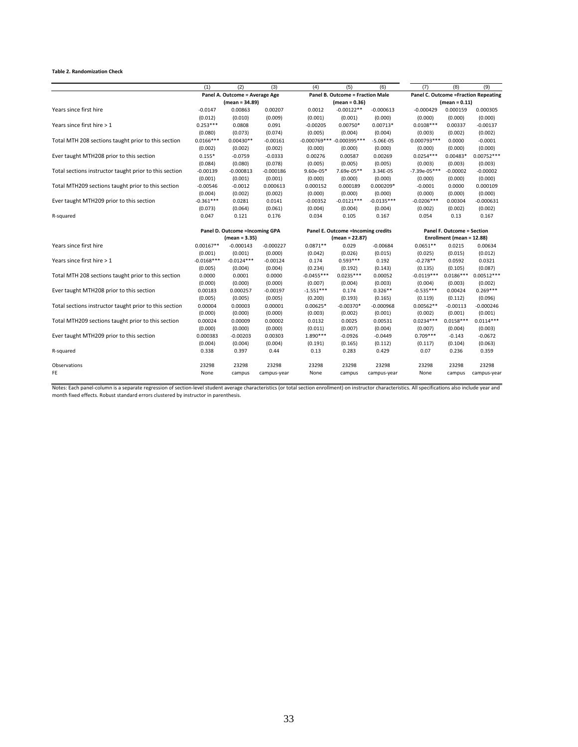#### **Table 2. Randomization Check**

|                                                        | (1)          | (2)                             | (3)         | (4)                         | (5)                                | (6)          | (7)            | (8)                        | (9)                                         |
|--------------------------------------------------------|--------------|---------------------------------|-------------|-----------------------------|------------------------------------|--------------|----------------|----------------------------|---------------------------------------------|
|                                                        |              | Panel A. Outcome = Average Age  |             |                             | Panel B. Outcome = Fraction Male   |              |                |                            | <b>Panel C. Outcome =Fraction Repeating</b> |
|                                                        |              | $(mean = 34.89)$                |             |                             | $(mean = 0.36)$                    |              |                | $(mean = 0.11)$            |                                             |
| Years since first hire                                 | $-0.0147$    | 0.00863                         | 0.00207     | 0.0012                      | $-0.00122**$                       | $-0.000613$  | $-0.000429$    | 0.000159                   | 0.000305                                    |
|                                                        | (0.012)      | (0.010)                         | (0.009)     | (0.001)                     | (0.001)                            | (0.000)      | (0.000)        | (0.000)                    | (0.000)                                     |
| Years since first hire > 1                             | $0.253***$   | 0.0808                          | 0.091       | $-0.00205$                  | $0.00750*$                         | $0.00713*$   | $0.0108***$    | 0.00337                    | $-0.00137$                                  |
|                                                        | (0.080)      | (0.073)                         | (0.074)     | (0.005)                     | (0.004)                            | (0.004)      | (0.003)        | (0.002)                    | (0.002)                                     |
| Total MTH 208 sections taught prior to this section    | $0.0166***$  | $0.00430**$                     | $-0.00161$  | -0.000769 *** -0.000395 *** |                                    | $-5.06E-05$  | 0.000793***    | 0.0000                     | $-0.0001$                                   |
|                                                        | (0.002)      | (0.002)                         | (0.002)     | (0.000)                     | (0.000)                            | (0.000)      | (0.000)        | (0.000)                    | (0.000)                                     |
| Ever taught MTH208 prior to this section               | $0.155*$     | $-0.0759$                       | $-0.0333$   | 0.00276                     | 0.00587                            | 0.00269      | $0.0254***$    | $0.00483*$                 | $0.00752***$                                |
|                                                        | (0.084)      | (0.080)                         | (0.078)     | (0.005)                     | (0.005)                            | (0.005)      | (0.003)        | (0.003)                    | (0.003)                                     |
| Total sections instructor taught prior to this section | $-0.00139$   | $-0.000813$                     | $-0.000186$ | $9.60e-05*$                 | 7.69e-05**                         | 3.34E-05     | $-7.39e-05***$ | $-0.00002$                 | $-0.00002$                                  |
|                                                        | (0.001)      | (0.001)                         | (0.001)     | (0.000)                     | (0.000)                            | (0.000)      | (0.000)        | (0.000)                    | (0.000)                                     |
| Total MTH209 sections taught prior to this section     | $-0.00546$   | $-0.0012$                       | 0.000613    | 0.000152                    | 0.000189                           | $0.000209*$  | $-0.0001$      | 0.0000                     | 0.000109                                    |
|                                                        | (0.004)      | (0.002)                         | (0.002)     | (0.000)                     | (0.000)                            | (0.000)      | (0.000)        | (0.000)                    | (0.000)                                     |
| Ever taught MTH209 prior to this section               | $-0.361***$  | 0.0281                          | 0.0141      | $-0.00352$                  | $-0.0121***$                       | $-0.0135***$ | $-0.0206***$   | 0.00304                    | $-0.000631$                                 |
|                                                        | (0.073)      | (0.064)                         | (0.061)     | (0.004)                     | (0.004)                            | (0.004)      | (0.002)        | (0.002)                    | (0.002)                                     |
| R-squared                                              | 0.047        | 0.121                           | 0.176       | 0.034                       | 0.105                              | 0.167        | 0.054          | 0.13                       | 0.167                                       |
|                                                        |              | Panel D. Outcome = Incoming GPA |             |                             | Panel E. Outcome =Incoming credits |              |                | Panel F. Outcome = Section |                                             |
|                                                        |              | $(mean = 3.35)$                 |             |                             | $(mean = 22.87)$                   |              |                | Enrollment (mean = 12.88)  |                                             |
| Years since first hire                                 | $0.00167**$  | $-0.000143$                     | $-0.000227$ | $0.0871**$                  | 0.029                              | $-0.00684$   | $0.0651**$     | 0.0215                     | 0.00634                                     |
|                                                        | (0.001)      | (0.001)                         | (0.000)     | (0.042)                     | (0.026)                            | (0.015)      | (0.025)        | (0.015)                    | (0.012)                                     |
| Years since first hire > 1                             | $-0.0168***$ | $-0.0124***$                    | $-0.00124$  | 0.174                       | $0.593***$                         | 0.192        | $-0.278**$     | 0.0592                     | 0.0321                                      |
|                                                        | (0.005)      | (0.004)                         | (0.004)     | (0.234)                     | (0.192)                            | (0.143)      | (0.135)        | (0.105)                    | (0.087)                                     |
| Total MTH 208 sections taught prior to this section    | 0.0000       | 0.0001                          | 0.0000      | $-0.0455***$                | $0.0235***$                        | 0.00052      | $-0.0119***$   | $0.0186***$                | $0.00512***$                                |
|                                                        | (0.000)      | (0.000)                         | (0.000)     | (0.007)                     | (0.004)                            | (0.003)      | (0.004)        | (0.003)                    | (0.002)                                     |
| Ever taught MTH208 prior to this section               | 0.00183      | 0.000257                        | $-0.00197$  | $-1.551***$                 | 0.174                              | $0.326**$    | $-0.535***$    | 0.00424                    | $0.269***$                                  |
|                                                        | (0.005)      | (0.005)                         | (0.005)     | (0.200)                     | (0.193)                            | (0.165)      | (0.119)        | (0.112)                    | (0.096)                                     |
| Total sections instructor taught prior to this section | 0.00004      | 0.00003                         | 0.00001     | $0.00625*$                  | $-0.00370*$                        | $-0.000968$  | $0.00562**$    | $-0.00113$                 | $-0.000246$                                 |
|                                                        | (0.000)      | (0.000)                         | (0.000)     | (0.003)                     | (0.002)                            | (0.001)      | (0.002)        | (0.001)                    | (0.001)                                     |
| Total MTH209 sections taught prior to this section     | 0.00024      | 0.00009                         | 0.00002     | 0.0132                      | 0.0025                             | 0.00531      | $0.0234***$    | $0.0158***$                | $0.0114***$                                 |
|                                                        | (0.000)      | (0.000)                         | (0.000)     | (0.011)                     | (0.007)                            | (0.004)      | (0.007)        | (0.004)                    | (0.003)                                     |
| Ever taught MTH209 prior to this section               | 0.000383     | $-0.00203$                      | 0.00303     | 1.890***                    | $-0.0926$                          | $-0.0449$    | $0.709***$     | $-0.143$                   | $-0.0672$                                   |
|                                                        | (0.004)      | (0.004)                         | (0.004)     | (0.191)                     | (0.165)                            | (0.112)      | (0.117)        | (0.104)                    | (0.063)                                     |
| R-squared                                              | 0.338        | 0.397                           | 0.44        | 0.13                        | 0.283                              | 0.429        | 0.07           | 0.236                      | 0.359                                       |
| Observations                                           | 23298        | 23298                           | 23298       | 23298                       | 23298                              | 23298        | 23298          | 23298                      | 23298                                       |
| FE                                                     | None         | campus                          | campus-year | None                        | campus                             | campus-year  | None           | campus                     | campus-year                                 |

Notes: Each panel-column is a separate regression of section-level student average characteristics (or total section enrollment) on instructor characteristics. All specifications also include year and<br>month fixed effects.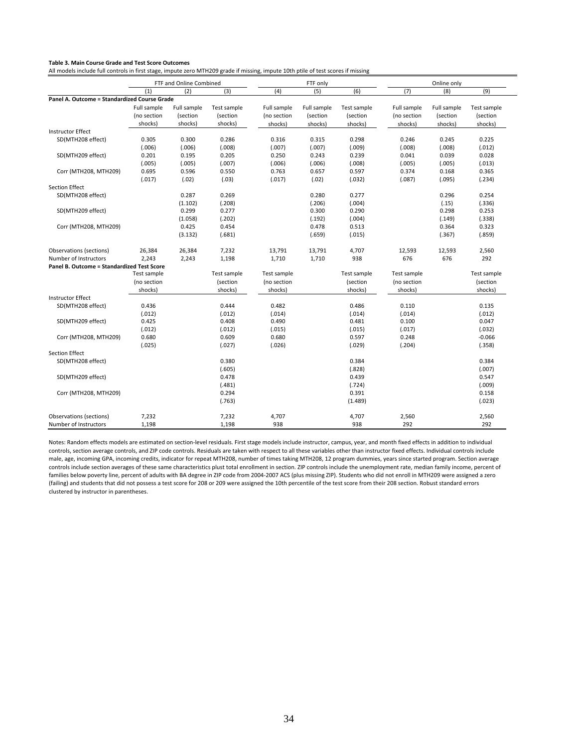#### **Table 3. Main Course Grade and Test Score Outcomes**

All models include full controls in first stage, impute zero MTH209 grade if missing, impute 10th ptile of test scores if missing

|                                              |             | FTF and Online Combined |             |             | FTF only    |             |             | Online only |             |
|----------------------------------------------|-------------|-------------------------|-------------|-------------|-------------|-------------|-------------|-------------|-------------|
|                                              | (1)         | (2)                     | (3)         | (4)         | (5)         | (6)         | (7)         | (8)         | (9)         |
| Panel A. Outcome = Standardized Course Grade |             |                         |             |             |             |             |             |             |             |
|                                              | Full sample | Full sample             | Test sample | Full sample | Full sample | Test sample | Full sample | Full sample | Test sample |
|                                              | (no section | (section                | (section    | (no section | (section    | (section    | (no section | (section    | (section    |
|                                              | shocks)     | shocks)                 | shocks)     | shocks)     | shocks)     | shocks)     | shocks)     | shocks)     | shocks)     |
| <b>Instructor Effect</b>                     |             |                         |             |             |             |             |             |             |             |
| SD(MTH208 effect)                            | 0.305       | 0.300                   | 0.286       | 0.316       | 0.315       | 0.298       | 0.246       | 0.245       | 0.225       |
|                                              | (.006)      | (.006)                  | (.008)      | (.007)      | (.007)      | (.009)      | (.008)      | (.008)      | (.012)      |
| SD(MTH209 effect)                            | 0.201       | 0.195                   | 0.205       | 0.250       | 0.243       | 0.239       | 0.041       | 0.039       | 0.028       |
|                                              | (.005)      | (.005)                  | (.007)      | (.006)      | (.006)      | (.008)      | (.005)      | (.005)      | (.013)      |
| Corr (MTH208, MTH209)                        | 0.695       | 0.596                   | 0.550       | 0.763       | 0.657       | 0.597       | 0.374       | 0.168       | 0.365       |
|                                              | (.017)      | (.02)                   | (.03)       | (.017)      | (.02)       | (.032)      | (.087)      | (.095)      | (.234)      |
| Section Effect                               |             |                         |             |             |             |             |             |             |             |
| SD(MTH208 effect)                            |             | 0.287                   | 0.269       |             | 0.280       | 0.277       |             | 0.296       | 0.254       |
|                                              |             | (1.102)                 | (.208)      |             | (.206)      | (.004)      |             | (.15)       | (.336)      |
| SD(MTH209 effect)                            |             | 0.299                   | 0.277       |             | 0.300       | 0.290       |             | 0.298       | 0.253       |
|                                              |             | (1.058)                 | (.202)      |             | (.192)      | (.004)      |             | (.149)      | (.338)      |
| Corr (MTH208, MTH209)                        |             | 0.425                   | 0.454       |             | 0.478       | 0.513       |             | 0.364       | 0.323       |
|                                              |             | (3.132)                 | (.681)      |             | (.659)      | (.015)      |             | (.367)      | (.859)      |
| Observations (sections)                      | 26,384      | 26,384                  | 7,232       | 13,791      | 13,791      | 4,707       | 12,593      | 12,593      | 2,560       |
| Number of Instructors                        | 2,243       | 2,243                   | 1,198       | 1,710       | 1,710       | 938         | 676         | 676         | 292         |
| Panel B. Outcome = Standardized Test Score   |             |                         |             |             |             |             |             |             |             |
|                                              | Test sample |                         | Test sample | Test sample |             | Test sample | Test sample |             | Test sample |
|                                              | (no section |                         | (section    | (no section |             | (section    | (no section |             | (section    |
|                                              | shocks)     |                         | shocks)     | shocks)     |             | shocks)     | shocks)     |             | shocks)     |
| <b>Instructor Effect</b>                     |             |                         |             |             |             |             |             |             |             |
| SD(MTH208 effect)                            | 0.436       |                         | 0.444       | 0.482       |             | 0.486       | 0.110       |             | 0.135       |
|                                              | (.012)      |                         | (.012)      | (.014)      |             | (.014)      | (.014)      |             | (.012)      |
| SD(MTH209 effect)                            | 0.425       |                         | 0.408       | 0.490       |             | 0.481       | 0.100       |             | 0.047       |
|                                              | (.012)      |                         | (.012)      | (.015)      |             | (.015)      | (.017)      |             | (.032)      |
| Corr (MTH208, MTH209)                        | 0.680       |                         | 0.609       | 0.680       |             | 0.597       | 0.248       |             | $-0.066$    |
|                                              | (.025)      |                         | (.027)      | (.026)      |             | (.029)      | (.204)      |             | (.358)      |
| Section Effect                               |             |                         |             |             |             |             |             |             |             |
| SD(MTH208 effect)                            |             |                         | 0.380       |             |             | 0.384       |             |             | 0.384       |
|                                              |             |                         | (.605)      |             |             | (.828)      |             |             | (.007)      |
| SD(MTH209 effect)                            |             |                         | 0.478       |             |             | 0.439       |             |             | 0.547       |
|                                              |             |                         | (.481)      |             |             | (.724)      |             |             | (.009)      |
| Corr (MTH208, MTH209)                        |             |                         | 0.294       |             |             | 0.391       |             |             | 0.158       |
|                                              |             |                         | (.763)      |             |             | (1.489)     |             |             | (.023)      |
| Observations (sections)                      | 7,232       |                         | 7,232       | 4,707       |             | 4,707       | 2,560       |             | 2,560       |
| Number of Instructors                        | 1,198       |                         | 1,198       | 938         |             | 938         | 292         |             | 292         |

Notes: Random effects models are estimated on section‐level residuals. First stage models include instructor, campus, year, and month fixed effects in addition to individual controls, section average controls, and ZIP code controls. Residuals are taken with respect to all these variables other than instructor fixed effects. Individual controls include male, age, incoming GPA, incoming credits, indicator for repeat MTH208, number of times taking MTH208, 12 program dummies, years since started program. Section average controls include section averages of these same characteristics plust total enrollment in section. ZIP controls include the unemployment rate, median family income, percent of families below poverty line, percent of adults with BA degree in ZIP code from 2004‐2007 ACS (plus missing ZIP). Students who did not enroll in MTH209 were assigned a zero (failing) and students that did not possess a test score for 208 or 209 were assigned the 10th percentile of the test score from their 208 section. Robust standard errors clustered by instructor in parentheses.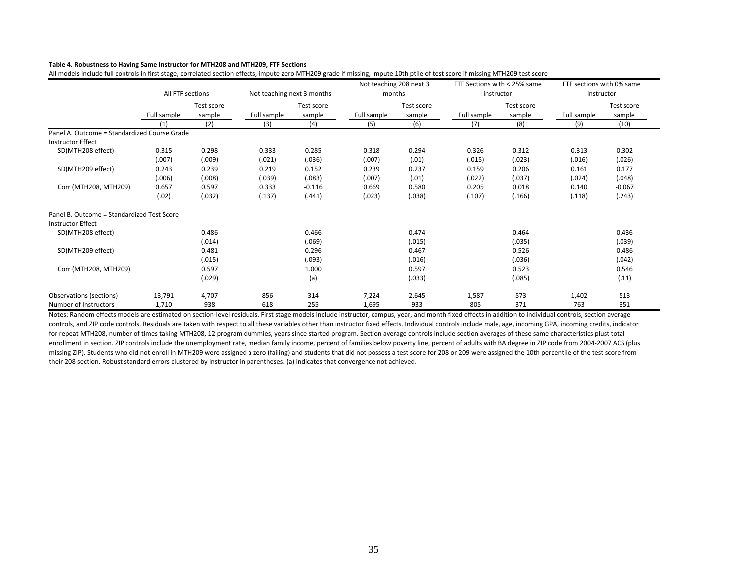#### **Table 4. Robustness to Having Same Instructor for MTH208 and MTH209, FTF Sections**

|                                              | All FTF sections |            | Not teaching next 3 months |          |             | Not teaching 208 next 3<br>months |             | FTF Sections with < 25% same<br>instructor | FTF sections with 0% same<br>instructor |            |
|----------------------------------------------|------------------|------------|----------------------------|----------|-------------|-----------------------------------|-------------|--------------------------------------------|-----------------------------------------|------------|
|                                              |                  | Test score | Test score                 |          | Test score  |                                   | Test score  |                                            |                                         | Test score |
|                                              | Full sample      | sample     | Full sample                | sample   | Full sample | sample                            | Full sample | sample                                     | Full sample                             | sample     |
|                                              | (1)              | (2)        | (3)                        | (4)      | (5)         | (6)                               | (7)         | (8)                                        | (9)                                     | (10)       |
| Panel A. Outcome = Standardized Course Grade |                  |            |                            |          |             |                                   |             |                                            |                                         |            |
| <b>Instructor Effect</b>                     |                  |            |                            |          |             |                                   |             |                                            |                                         |            |
| SD(MTH208 effect)                            | 0.315            | 0.298      | 0.333                      | 0.285    | 0.318       | 0.294                             | 0.326       | 0.312                                      | 0.313                                   | 0.302      |
|                                              | (.007)           | (.009)     | (.021)                     | (.036)   | (.007)      | (.01)                             | (.015)      | (.023)                                     | (.016)                                  | (.026)     |
| SD(MTH209 effect)                            | 0.243            | 0.239      | 0.219                      | 0.152    | 0.239       | 0.237                             | 0.159       | 0.206                                      | 0.161                                   | 0.177      |
|                                              | (.006)           | (.008)     | (.039)                     | (.083)   | (.007)      | (.01)                             | (.022)      | (.037)                                     | (.024)                                  | (.048)     |
| Corr (MTH208, MTH209)                        | 0.657            | 0.597      | 0.333                      | $-0.116$ | 0.669       | 0.580                             | 0.205       | 0.018                                      | 0.140                                   | $-0.067$   |
|                                              | (.02)            | (.032)     | (.137)                     | (.441)   | (.023)      | (.038)                            | (.107)      | (.166)                                     | (.118)                                  | (.243)     |
| Panel B. Outcome = Standardized Test Score   |                  |            |                            |          |             |                                   |             |                                            |                                         |            |
| <b>Instructor Effect</b>                     |                  |            |                            |          |             |                                   |             |                                            |                                         |            |
| SD(MTH208 effect)                            |                  | 0.486      |                            | 0.466    |             | 0.474                             |             | 0.464                                      |                                         | 0.436      |
|                                              |                  | (.014)     |                            | (.069)   |             | (.015)                            |             | (.035)                                     |                                         | (.039)     |
| SD(MTH209 effect)                            |                  | 0.481      |                            | 0.296    |             | 0.467                             |             | 0.526                                      |                                         | 0.486      |
|                                              |                  | (.015)     |                            | (.093)   |             | (.016)                            |             | (.036)                                     |                                         | (.042)     |
| Corr (MTH208, MTH209)                        |                  | 0.597      |                            | 1.000    |             | 0.597                             |             | 0.523                                      |                                         | 0.546      |
|                                              |                  | (.029)     |                            | (a)      |             | (.033)                            |             | (.085)                                     |                                         | (.11)      |
| Observations (sections)                      | 13,791           | 4,707      | 856                        | 314      | 7,224       | 2,645                             | 1,587       | 573                                        | 1,402                                   | 513        |
| Number of Instructors                        | 1,710            | 938        | 618                        | 255      | 1,695       | 933                               | 805         | 371                                        | 763                                     | 351        |

All models include full controls in first stage, correlated section effects, impute zero MTH209 grade if missing, impute 10th ptile of test score if missing MTH209 test score

Notes: Random effects models are estimated on section‐level residuals. First stage models include instructor, campus, year, and month fixed effects in addition to individual controls, section average controls, and ZIP code controls. Residuals are taken with respect to all these variables other than instructor fixed effects. Individual controls include male, age, incoming GPA, incoming credits, indicator for repeat MTH208, number of times taking MTH208, 12 program dummies, years since started program. Section average controls include section averages of these same characteristics plust total enrollment in section. ZIP controls include the unemployment rate, median family income, percent of families below poverty line, percent of adults with BA degree in ZIP code from 2004‐2007 ACS (plus missing ZIP). Students who did not enroll in MTH209 were assigned <sup>a</sup> zero (failing) and students that did not possess <sup>a</sup> test score for 208 or 209 were assigned the 10th percentile of the test score from their 208 section. Robust standard errors clustered by instructor in parentheses. (a) indicates that convergence not achieved.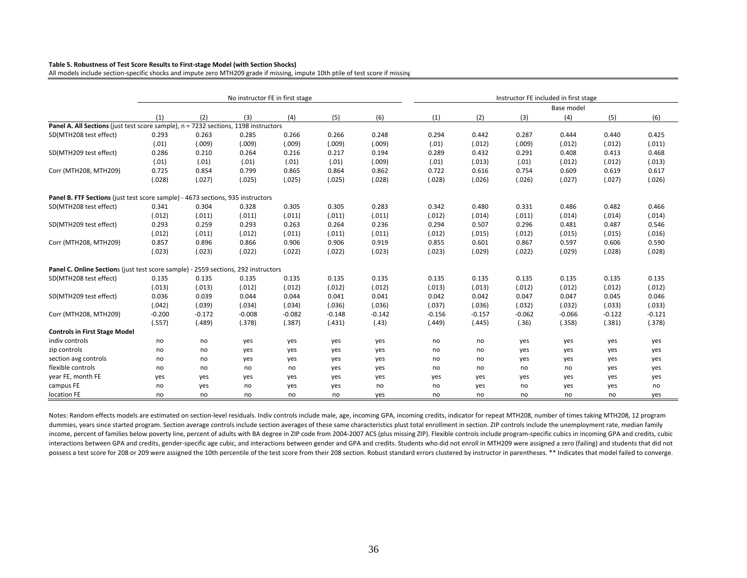#### **Table 5. Robustness of Test Score Results to First‐stage Model (with Section Shocks)**

All models include section‐specific shocks and impute zero MTH209 grade if missing, impute 10th ptile of test score if missing

|                                                                                     |          |          |          | No instructor FE in first stage |          |          | Instructor FE included in first stage |          |          |            |          |          |
|-------------------------------------------------------------------------------------|----------|----------|----------|---------------------------------|----------|----------|---------------------------------------|----------|----------|------------|----------|----------|
|                                                                                     |          |          |          |                                 |          |          |                                       |          |          | Base model |          |          |
|                                                                                     | (1)      | (2)      | (3)      | (4)                             | (5)      | (6)      | (1)                                   | (2)      | (3)      | (4)        | (5)      | (6)      |
| Panel A. All Sections (just test score sample), n = 7232 sections, 1198 instructors |          |          |          |                                 |          |          |                                       |          |          |            |          |          |
| SD(MTH208 test effect)                                                              | 0.293    | 0.263    | 0.285    | 0.266                           | 0.266    | 0.248    | 0.294                                 | 0.442    | 0.287    | 0.444      | 0.440    | 0.425    |
|                                                                                     | (.01)    | (.009)   | (.009)   | (.009)                          | (.009)   | (.009)   | (.01)                                 | (.012)   | (.009)   | (.012)     | (.012)   | (.011)   |
| SD(MTH209 test effect)                                                              | 0.286    | 0.210    | 0.264    | 0.216                           | 0.217    | 0.194    | 0.289                                 | 0.432    | 0.291    | 0.408      | 0.413    | 0.468    |
|                                                                                     | (.01)    | (.01)    | (.01)    | (.01)                           | (.01)    | (.009)   | (.01)                                 | (.013)   | (.01)    | (.012)     | (.012)   | (.013)   |
| Corr (MTH208, MTH209)                                                               | 0.725    | 0.854    | 0.799    | 0.865                           | 0.864    | 0.862    | 0.722                                 | 0.616    | 0.754    | 0.609      | 0.619    | 0.617    |
|                                                                                     | (.028)   | (.027)   | (.025)   | (.025)                          | (.025)   | (.028)   | (.028)                                | (.026)   | (.026)   | (.027)     | (.027)   | (.026)   |
| Panel B. FTF Sections (just test score sample) - 4673 sections, 935 instructors     |          |          |          |                                 |          |          |                                       |          |          |            |          |          |
| SD(MTH208 test effect)                                                              | 0.341    | 0.304    | 0.328    | 0.305                           | 0.305    | 0.283    | 0.342                                 | 0.480    | 0.331    | 0.486      | 0.482    | 0.466    |
|                                                                                     | (.012)   | (.011)   | (.011)   | (.011)                          | (.011)   | (.011)   | (.012)                                | (.014)   | (.011)   | (.014)     | (.014)   | (.014)   |
| SD(MTH209 test effect)                                                              | 0.293    | 0.259    | 0.293    | 0.263                           | 0.264    | 0.236    | 0.294                                 | 0.507    | 0.296    | 0.481      | 0.487    | 0.546    |
|                                                                                     | (.012)   | (.011)   | (.012)   | (.011)                          | (.011)   | (.011)   | (.012)                                | (.015)   | (.012)   | (.015)     | (.015)   | (.016)   |
| Corr (MTH208, MTH209)                                                               | 0.857    | 0.896    | 0.866    | 0.906                           | 0.906    | 0.919    | 0.855                                 | 0.601    | 0.867    | 0.597      | 0.606    | 0.590    |
|                                                                                     | (.023)   | (.023)   | (.022)   | (.022)                          | (.022)   | (.023)   | (.023)                                | (.029)   | (.022)   | (.029)     | (.028)   | (.028)   |
| Panel C. Online Sections (just test score sample) - 2559 sections, 292 instructors  |          |          |          |                                 |          |          |                                       |          |          |            |          |          |
| SD(MTH208 test effect)                                                              | 0.135    | 0.135    | 0.135    | 0.135                           | 0.135    | 0.135    | 0.135                                 | 0.135    | 0.135    | 0.135      | 0.135    | 0.135    |
|                                                                                     | (.013)   | (.013)   | (.012)   | (.012)                          | (.012)   | (.012)   | (.013)                                | (.013)   | (.012)   | (.012)     | (.012)   | (.012)   |
| SD(MTH209 test effect)                                                              | 0.036    | 0.039    | 0.044    | 0.044                           | 0.041    | 0.041    | 0.042                                 | 0.042    | 0.047    | 0.047      | 0.045    | 0.046    |
|                                                                                     | (.042)   | (.039)   | (.034)   | (.034)                          | (.036)   | (.036)   | (.037)                                | (.036)   | (.032)   | (.032)     | (.033)   | (.033)   |
| Corr (MTH208, MTH209)                                                               | $-0.200$ | $-0.172$ | $-0.008$ | $-0.082$                        | $-0.148$ | $-0.142$ | $-0.156$                              | $-0.157$ | $-0.062$ | $-0.066$   | $-0.122$ | $-0.121$ |
|                                                                                     | (.557)   | (.489)   | (.378)   | (.387)                          | (.431)   | (.43)    | (.449)                                | (.445)   | (.36)    | (.358)     | (.381)   | (.378)   |
| <b>Controls in First Stage Model</b>                                                |          |          |          |                                 |          |          |                                       |          |          |            |          |          |
| indiv controls                                                                      | no       | no       | yes      | yes                             | yes      | yes      | no                                    | no       | yes      | yes        | yes      | yes      |
| zip controls                                                                        | no       | no       | yes      | yes                             | yes      | yes      | no                                    | no       | yes      | yes        | yes      | yes      |
| section avg controls                                                                | no       | no       | yes      | yes                             | yes      | yes      | no                                    | no       | yes      | yes        | yes      | yes      |
| flexible controls                                                                   | no       | no       | no       | no                              | yes      | yes      | no                                    | no       | no       | no         | yes      | yes      |
| year FE, month FE                                                                   | yes      | yes      | yes      | yes                             | yes      | yes      | yes                                   | yes      | yes      | yes        | yes      | yes      |
| campus FE                                                                           | no       | yes      | no       | yes                             | yes      | no       | no                                    | yes      | no       | yes        | yes      | no       |
| location FE                                                                         | no       | no       | no       | no                              | no       | yes      | no                                    | no       | no       | no         | no       | yes      |

Notes: Random effects models are estimated on section‐level residuals. Indiv controls include male, age, incoming GPA, incoming credits, indicator for repeat MTH208, number of times taking MTH208, 12 program dummies, years since started program. Section average controls include section averages of these same characteristics plust total enrollment in section. ZIP controls include the unemployment rate, median family income, percent of families below poverty line, percent of adults with BA degree in ZIP code from 2004‐2007 ACS (plus missing ZIP). Flexible controls include program‐specific cubics in incoming GPA and credits, cubic interactions between GPA and credits, gender‐specific age cubic, and interactions between gender and GPA and credits. Students who did not enroll in MTH209 were assigned <sup>a</sup> zero (failing) and students that did not possess a test score for 208 or 209 were assigned the 10th percentile of the test score from their 208 section. Robust standard errors clustered by instructor in parentheses. \*\* Indicates that model failed to converge.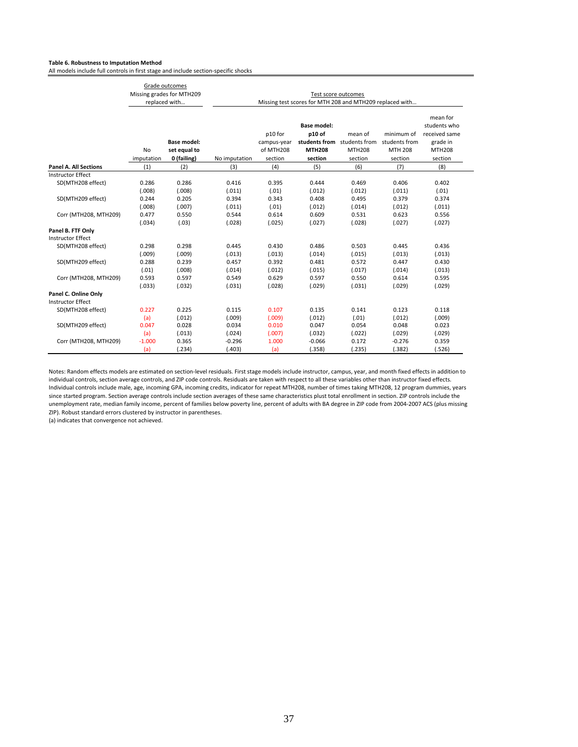#### **Table 6. Robustness to Imputation Method** All models include full controls in first stage and include section‐specific shocks

|                              |                  | Grade outcomes<br>Missing grades for MTH209<br>replaced with | Test score outcomes<br>Missing test scores for MTH 208 and MTH209 replaced with |                                                |                                                          |                                                                    |                                                          |                                                                                   |  |  |  |
|------------------------------|------------------|--------------------------------------------------------------|---------------------------------------------------------------------------------|------------------------------------------------|----------------------------------------------------------|--------------------------------------------------------------------|----------------------------------------------------------|-----------------------------------------------------------------------------------|--|--|--|
|                              | No<br>imputation | Base model:<br>set equal to<br>0 (failing)                   | No imputation                                                                   | p10 for<br>campus-year<br>of MTH208<br>section | <b>Base model:</b><br>p10 of<br><b>MTH208</b><br>section | mean of<br>students from students from<br><b>MTH208</b><br>section | minimum of<br>students from<br><b>MTH 208</b><br>section | mean for<br>students who<br>received same<br>grade in<br><b>MTH208</b><br>section |  |  |  |
| <b>Panel A. All Sections</b> | (1)              | (2)                                                          | (3)                                                                             | (4)                                            | (5)                                                      | (6)                                                                | (7)                                                      | (8)                                                                               |  |  |  |
| <b>Instructor Effect</b>     |                  |                                                              |                                                                                 |                                                |                                                          |                                                                    |                                                          |                                                                                   |  |  |  |
| SD(MTH208 effect)            | 0.286            | 0.286                                                        | 0.416                                                                           | 0.395                                          | 0.444                                                    | 0.469                                                              | 0.406                                                    | 0.402                                                                             |  |  |  |
|                              | (.008)           | (.008)                                                       | (.011)                                                                          | (.01)                                          | (.012)                                                   | (.012)                                                             | (.011)                                                   | (.01)                                                                             |  |  |  |
| SD(MTH209 effect)            | 0.244            | 0.205                                                        | 0.394                                                                           | 0.343                                          | 0.408                                                    | 0.495                                                              | 0.379                                                    | 0.374                                                                             |  |  |  |
|                              | (.008)           | (.007)                                                       | (.011)                                                                          | (.01)                                          | (.012)                                                   | (.014)                                                             | (.012)                                                   | (.011)                                                                            |  |  |  |
| Corr (MTH208, MTH209)        | 0.477            | 0.550                                                        | 0.544                                                                           | 0.614                                          | 0.609                                                    | 0.531                                                              | 0.623                                                    | 0.556                                                                             |  |  |  |
|                              | (.034)           | (.03)                                                        | (.028)                                                                          | (.025)                                         | (.027)                                                   | (.028)                                                             | (.027)                                                   | (.027)                                                                            |  |  |  |
| Panel B. FTF Only            |                  |                                                              |                                                                                 |                                                |                                                          |                                                                    |                                                          |                                                                                   |  |  |  |
| <b>Instructor Effect</b>     |                  |                                                              |                                                                                 |                                                |                                                          |                                                                    |                                                          |                                                                                   |  |  |  |
| SD(MTH208 effect)            | 0.298            | 0.298                                                        | 0.445                                                                           | 0.430                                          | 0.486                                                    | 0.503                                                              | 0.445                                                    | 0.436                                                                             |  |  |  |
|                              | (.009)           | (.009)                                                       | (.013)                                                                          | (.013)                                         | (.014)                                                   | (.015)                                                             | (.013)                                                   | (.013)                                                                            |  |  |  |
| SD(MTH209 effect)            | 0.288            | 0.239                                                        | 0.457                                                                           | 0.392                                          | 0.481                                                    | 0.572                                                              | 0.447                                                    | 0.430                                                                             |  |  |  |
|                              | (.01)            | (.008)                                                       | (.014)                                                                          | (.012)                                         | (.015)                                                   | (.017)                                                             | (.014)                                                   | (.013)                                                                            |  |  |  |
| Corr (MTH208, MTH209)        | 0.593            | 0.597                                                        | 0.549                                                                           | 0.629                                          | 0.597                                                    | 0.550                                                              | 0.614                                                    | 0.595                                                                             |  |  |  |
|                              | (.033)           | (.032)                                                       | (.031)                                                                          | (.028)                                         | (.029)                                                   | (.031)                                                             | (.029)                                                   | (.029)                                                                            |  |  |  |
| Panel C. Online Only         |                  |                                                              |                                                                                 |                                                |                                                          |                                                                    |                                                          |                                                                                   |  |  |  |
| <b>Instructor Effect</b>     |                  |                                                              |                                                                                 |                                                |                                                          |                                                                    |                                                          |                                                                                   |  |  |  |
| SD(MTH208 effect)            | 0.227            | 0.225                                                        | 0.115                                                                           | 0.107                                          | 0.135                                                    | 0.141                                                              | 0.123                                                    | 0.118                                                                             |  |  |  |
|                              | (a)              | (.012)                                                       | (.009)                                                                          | (.009)                                         | (.012)                                                   | (.01)                                                              | (.012)                                                   | (.009)                                                                            |  |  |  |
| SD(MTH209 effect)            | 0.047            | 0.028                                                        | 0.034                                                                           | 0.010                                          | 0.047                                                    | 0.054                                                              | 0.048                                                    | 0.023                                                                             |  |  |  |
|                              | (a)              | (.013)                                                       | (.024)                                                                          | (.007)                                         | (.032)                                                   | (.022)                                                             | (.029)                                                   | (.029)                                                                            |  |  |  |
| Corr (MTH208, MTH209)        | $-1.000$         | 0.365                                                        | $-0.296$                                                                        | 1.000                                          | $-0.066$                                                 | 0.172                                                              | $-0.276$                                                 | 0.359                                                                             |  |  |  |
|                              | (a)              | (.234)                                                       | (.403)                                                                          | (a)                                            | (.358)                                                   | (.235)                                                             | (.382)                                                   | (.526)                                                                            |  |  |  |

Notes: Random effects models are estimated on section‐level residuals. First stage models include instructor, campus, year, and month fixed effects in addition to individual controls, section average controls, and ZIP code controls. Residuals are taken with respect to all these variables other than instructor fixed effects. Individual controls include male, age, incoming GPA, incoming credits, indicator for repeat MTH208, number of times taking MTH208, 12 program dummies, years since started program. Section average controls include section averages of these same characteristics plust total enrollment in section. ZIP controls include the unemployment rate, median family income, percent of families below poverty line, percent of adults with BA degree in ZIP code from 2004‐2007 ACS (plus missing ZIP). Robust standard errors clustered by instructor in parentheses.

(a) indicates that convergence not achieved.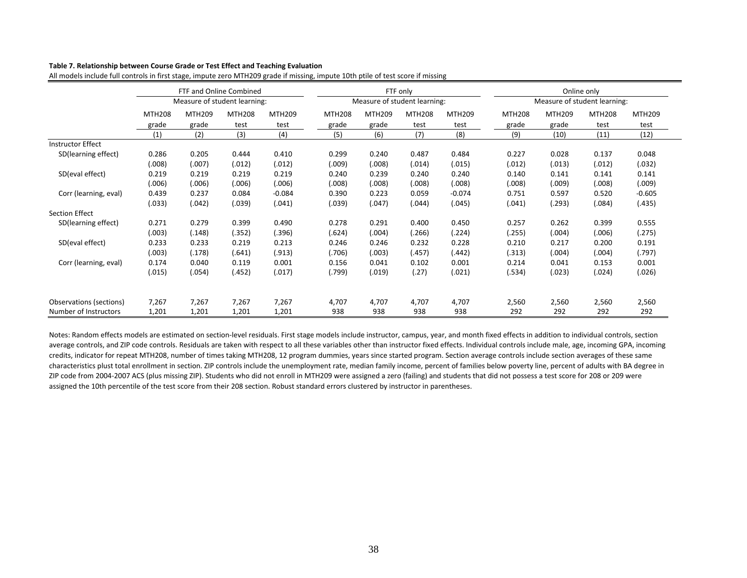#### **Table 7. Relationship between Course Grade or Test Effect and Teaching Evaluation**

|                          |               |                              | FTF and Online Combined |               |               |                              | FTF only      |               |                              |        | Online only   |               |
|--------------------------|---------------|------------------------------|-------------------------|---------------|---------------|------------------------------|---------------|---------------|------------------------------|--------|---------------|---------------|
|                          |               | Measure of student learning: |                         |               |               | Measure of student learning: |               |               | Measure of student learning: |        |               |               |
|                          | <b>MTH208</b> | MTH209                       | <b>MTH208</b>           | <b>MTH209</b> | <b>MTH208</b> | <b>MTH209</b>                | <b>MTH208</b> | <b>MTH209</b> | <b>MTH208</b>                | MTH209 | <b>MTH208</b> | <b>MTH209</b> |
|                          | grade         | grade                        | test                    | test          | grade         | grade                        | test          | test          | grade                        | grade  | test          | test          |
|                          | (1)           | (2)                          | (3)                     | (4)           | (5)           | (6)                          | (7)           | (8)           | (9)                          | (10)   | (11)          | (12)          |
| <b>Instructor Effect</b> |               |                              |                         |               |               |                              |               |               |                              |        |               |               |
| SD(learning effect)      | 0.286         | 0.205                        | 0.444                   | 0.410         | 0.299         | 0.240                        | 0.487         | 0.484         | 0.227                        | 0.028  | 0.137         | 0.048         |
|                          | (.008)        | (.007)                       | (.012)                  | (.012)        | (.009)        | (.008)                       | (.014)        | (.015)        | (.012)                       | (.013) | (.012)        | (.032)        |
| SD(eval effect)          | 0.219         | 0.219                        | 0.219                   | 0.219         | 0.240         | 0.239                        | 0.240         | 0.240         | 0.140                        | 0.141  | 0.141         | 0.141         |
|                          | (.006)        | (.006)                       | (.006)                  | (.006)        | (.008)        | (.008)                       | (.008)        | (.008)        | (.008)                       | (.009) | (.008)        | (.009)        |
| Corr (learning, eval)    | 0.439         | 0.237                        | 0.084                   | $-0.084$      | 0.390         | 0.223                        | 0.059         | $-0.074$      | 0.751                        | 0.597  | 0.520         | $-0.605$      |
|                          | (.033)        | (.042)                       | (.039)                  | (.041)        | (.039)        | (.047)                       | (.044)        | (.045)        | (.041)                       | (.293) | (.084)        | (.435)        |
| <b>Section Effect</b>    |               |                              |                         |               |               |                              |               |               |                              |        |               |               |
| SD(learning effect)      | 0.271         | 0.279                        | 0.399                   | 0.490         | 0.278         | 0.291                        | 0.400         | 0.450         | 0.257                        | 0.262  | 0.399         | 0.555         |
|                          | (.003)        | (.148)                       | (.352)                  | (.396)        | (.624)        | (.004)                       | (.266)        | (.224)        | (.255)                       | (.004) | (.006)        | (.275)        |
| SD(eval effect)          | 0.233         | 0.233                        | 0.219                   | 0.213         | 0.246         | 0.246                        | 0.232         | 0.228         | 0.210                        | 0.217  | 0.200         | 0.191         |
|                          | (.003)        | (.178)                       | (.641)                  | (.913)        | (.706)        | (.003)                       | (.457)        | (.442)        | (.313)                       | (.004) | (.004)        | (.797)        |
| Corr (learning, eval)    | 0.174         | 0.040                        | 0.119                   | 0.001         | 0.156         | 0.041                        | 0.102         | 0.001         | 0.214                        | 0.041  | 0.153         | 0.001         |
|                          | (.015)        | (.054)                       | (.452)                  | (.017)        | (.799)        | (.019)                       | (.27)         | (.021)        | (.534)                       | (.023) | (.024)        | (.026)        |
| Observations (sections)  | 7,267         | 7,267                        | 7,267                   | 7,267         | 4,707         | 4,707                        | 4,707         | 4,707         | 2,560                        | 2,560  | 2,560         | 2,560         |
| Number of Instructors    | 1,201         | 1,201                        | 1,201                   | 1,201         | 938           | 938                          | 938           | 938           | 292                          | 292    | 292           | 292           |

Notes: Random effects models are estimated on section‐level residuals. First stage models include instructor, campus, year, and month fixed effects in addition to individual controls, section average controls, and ZIP code controls. Residuals are taken with respect to all these variables other than instructor fixed effects. Individual controls include male, age, incoming GPA, incoming credits, indicator for repeat MTH208, number of times taking MTH208, 12 program dummies, years since started program. Section average controls include section averages of these same characteristics plust total enrollment in section. ZIP controls include the unemployment rate, median family income, percent of families below poverty line, percent of adults with BA degree in ZIP code from 2004‐2007 ACS (plus missing ZIP). Students who did not enroll in MTH209 were assigned <sup>a</sup> zero (failing) and students that did not possess <sup>a</sup> test score for 208 or 209 were assigned the 10th percentile of the test score from their 208 section. Robust standard errors clustered by instructor in parentheses.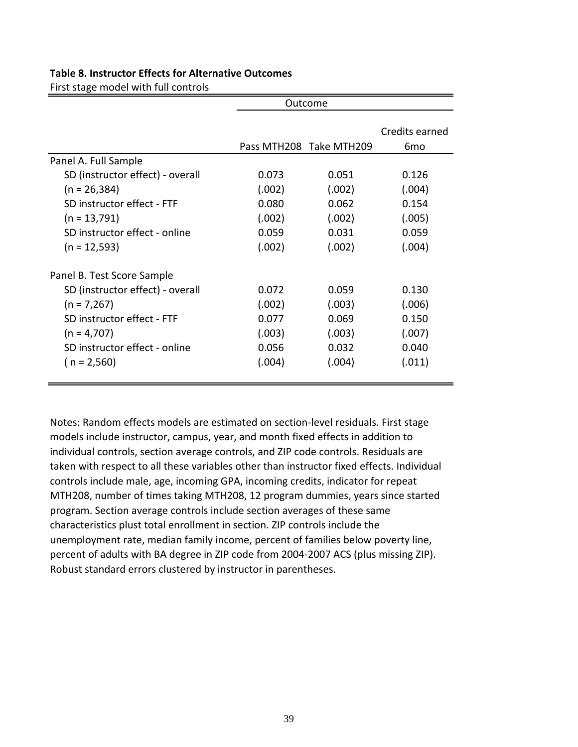# **Table 8. Instructor Effects for Alternative Outcomes**

First stage model with full controls

|                                  |        | Outcome                 |                |
|----------------------------------|--------|-------------------------|----------------|
|                                  |        |                         | Credits earned |
|                                  |        | Pass MTH208 Take MTH209 | 6mo            |
| Panel A. Full Sample             |        |                         |                |
| SD (instructor effect) - overall | 0.073  | 0.051                   | 0.126          |
| $(n = 26, 384)$                  | (.002) | (.002)                  | (.004)         |
| SD instructor effect - FTF       | 0.080  | 0.062                   | 0.154          |
| $(n = 13,791)$                   | (.002) | (.002)                  | (.005)         |
| SD instructor effect - online    | 0.059  | 0.031                   | 0.059          |
| $(n = 12,593)$                   | (.002) | (.002)                  | (.004)         |
| Panel B. Test Score Sample       |        |                         |                |
| SD (instructor effect) - overall | 0.072  | 0.059                   | 0.130          |
| $(n = 7,267)$                    | (.002) | (.003)                  | (.006)         |
| SD instructor effect - FTF       | 0.077  | 0.069                   | 0.150          |
| $(n = 4,707)$                    | (.003) | (.003)                  | (.007)         |
| SD instructor effect - online    | 0.056  | 0.032                   | 0.040          |
| ( n = 2,560)                     | (.004) | (.004)                  | (.011)         |

Notes: Random effects models are estimated on section‐level residuals. First stage models include instructor, campus, year, and month fixed effects in addition to individual controls, section average controls, and ZIP code controls. Residuals are taken with respect to all these variables other than instructor fixed effects. Individual controls include male, age, incoming GPA, incoming credits, indicator for repeat MTH208, number of times taking MTH208, 12 program dummies, years since started program. Section average controls include section averages of these same characteristics plust total enrollment in section. ZIP controls include the unemployment rate, median family income, percent of families below poverty line, percent of adults with BA degree in ZIP code from 2004‐2007 ACS (plus missing ZIP). Robust standard errors clustered by instructor in parentheses.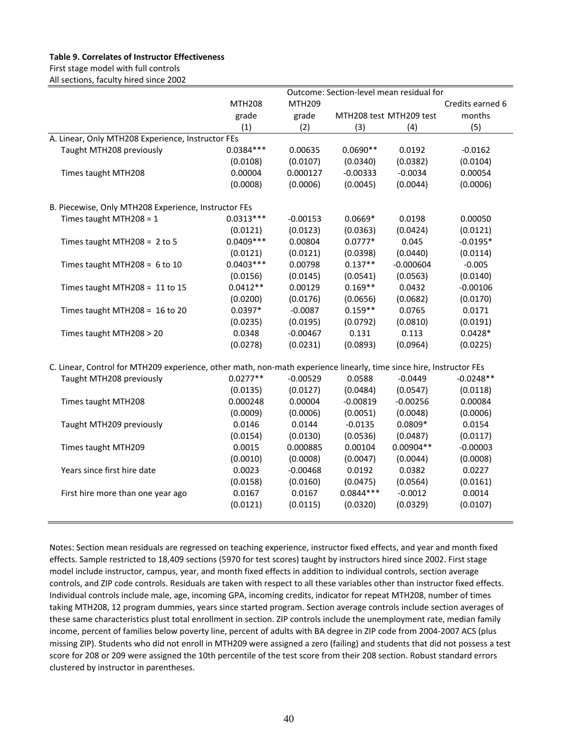#### **Table 9. Correlates of Instructor Effectiveness**

First stage model with full controls

All sections, faculty hired since 2002

|                                                                                                                     | Outcome: Section-level mean residual for |               |                         |             |                  |  |  |  |
|---------------------------------------------------------------------------------------------------------------------|------------------------------------------|---------------|-------------------------|-------------|------------------|--|--|--|
|                                                                                                                     | <b>MTH208</b>                            | <b>MTH209</b> |                         |             | Credits earned 6 |  |  |  |
|                                                                                                                     | grade                                    | grade         | MTH208 test MTH209 test |             | months           |  |  |  |
|                                                                                                                     | (1)                                      | (2)           | (3)                     | (4)         | (5)              |  |  |  |
| A. Linear, Only MTH208 Experience, Instructor FEs                                                                   |                                          |               |                         |             |                  |  |  |  |
| Taught MTH208 previously                                                                                            | $0.0384***$                              | 0.00635       | $0.0690**$              | 0.0192      | $-0.0162$        |  |  |  |
|                                                                                                                     | (0.0108)                                 | (0.0107)      | (0.0340)                | (0.0382)    | (0.0104)         |  |  |  |
| Times taught MTH208                                                                                                 | 0.00004                                  | 0.000127      | $-0.00333$              | $-0.0034$   | 0.00054          |  |  |  |
|                                                                                                                     | (0.0008)                                 | (0.0006)      | (0.0045)                | (0.0044)    | (0.0006)         |  |  |  |
| B. Piecewise, Only MTH208 Experience, Instructor FEs                                                                |                                          |               |                         |             |                  |  |  |  |
| Times taught MTH208 = $1$                                                                                           | $0.0313***$                              | $-0.00153$    | $0.0669*$               | 0.0198      | 0.00050          |  |  |  |
|                                                                                                                     | (0.0121)                                 | (0.0123)      | (0.0363)                | (0.0424)    | (0.0121)         |  |  |  |
| Times taught MTH208 = $2$ to 5                                                                                      | $0.0409***$                              | 0.00804       | $0.0777*$               | 0.045       | $-0.0195*$       |  |  |  |
|                                                                                                                     | (0.0121)                                 | (0.0121)      | (0.0398)                | (0.0440)    | (0.0114)         |  |  |  |
| Times taught MTH208 = $6$ to 10                                                                                     | $0.0403***$                              | 0.00798       | $0.137**$               | $-0.000604$ | $-0.005$         |  |  |  |
|                                                                                                                     | (0.0156)                                 | (0.0145)      | (0.0541)                | (0.0563)    | (0.0140)         |  |  |  |
| Times taught MTH208 = 11 to 15                                                                                      | $0.0412**$                               | 0.00129       | $0.169**$               | 0.0432      | $-0.00106$       |  |  |  |
|                                                                                                                     | (0.0200)                                 | (0.0176)      | (0.0656)                | (0.0682)    | (0.0170)         |  |  |  |
| Times taught MTH208 = $16$ to 20                                                                                    | $0.0397*$                                | $-0.0087$     | $0.159**$               | 0.0765      | 0.0171           |  |  |  |
|                                                                                                                     | (0.0235)                                 | (0.0195)      | (0.0792)                | (0.0810)    | (0.0191)         |  |  |  |
| Times taught MTH208 > 20                                                                                            | 0.0348                                   | $-0.00467$    | 0.131                   | 0.113       | $0.0428*$        |  |  |  |
|                                                                                                                     | (0.0278)                                 | (0.0231)      | (0.0893)                | (0.0964)    | (0.0225)         |  |  |  |
| C. Linear, Control for MTH209 experience, other math, non-math experience linearly, time since hire, Instructor FEs |                                          |               |                         |             |                  |  |  |  |
| Taught MTH208 previously                                                                                            | $0.0277**$                               | $-0.00529$    | 0.0588                  | $-0.0449$   | $-0.0248**$      |  |  |  |
|                                                                                                                     | (0.0135)                                 | (0.0127)      | (0.0484)                | (0.0547)    | (0.0118)         |  |  |  |
| Times taught MTH208                                                                                                 | 0.000248                                 | 0.00004       | $-0.00819$              | $-0.00256$  | 0.00084          |  |  |  |
|                                                                                                                     | (0.0009)                                 | (0.0006)      | (0.0051)                | (0.0048)    | (0.0006)         |  |  |  |
| Taught MTH209 previously                                                                                            | 0.0146                                   | 0.0144        | $-0.0135$               | $0.0809*$   | 0.0154           |  |  |  |
|                                                                                                                     | (0.0154)                                 | (0.0130)      | (0.0536)                | (0.0487)    | (0.0117)         |  |  |  |
| Times taught MTH209                                                                                                 | 0.0015                                   | 0.000885      | 0.00104                 | $0.00904**$ | $-0.00003$       |  |  |  |
|                                                                                                                     | (0.0010)                                 | (0.0008)      | (0.0047)                | (0.0044)    | (0.0008)         |  |  |  |
| Years since first hire date                                                                                         | 0.0023                                   | $-0.00468$    | 0.0192                  | 0.0382      | 0.0227           |  |  |  |
|                                                                                                                     | (0.0158)                                 | (0.0160)      | (0.0475)                | (0.0564)    | (0.0161)         |  |  |  |
| First hire more than one year ago                                                                                   | 0.0167                                   | 0.0167        | $0.0844***$             | $-0.0012$   | 0.0014           |  |  |  |
|                                                                                                                     | (0.0121)                                 | (0.0115)      | (0.0320)                | (0.0329)    | (0.0107)         |  |  |  |
|                                                                                                                     |                                          |               |                         |             |                  |  |  |  |

Notes: Section mean residuals are regressed on teaching experience, instructor fixed effects, and year and month fixed effects. Sample restricted to 18,409 sections (5970 for test scores) taught by instructors hired since 2002. First stage model include instructor, campus, year, and month fixed effects in addition to individual controls, section average controls, and ZIP code controls. Residuals are taken with respect to all these variables other than instructor fixed effects. Individual controls include male, age, incoming GPA, incoming credits, indicator for repeat MTH208, number of times taking MTH208, 12 program dummies, years since started program. Section average controls include section averages of these same characteristics plust total enrollment in section. ZIP controls include the unemployment rate, median family income, percent of families below poverty line, percent of adults with BA degree in ZIP code from 2004‐2007 ACS (plus missing ZIP). Students who did not enroll in MTH209 were assigned a zero (failing) and students that did not possess a test score for 208 or 209 were assigned the 10th percentile of the test score from their 208 section. Robust standard errors clustered by instructor in parentheses.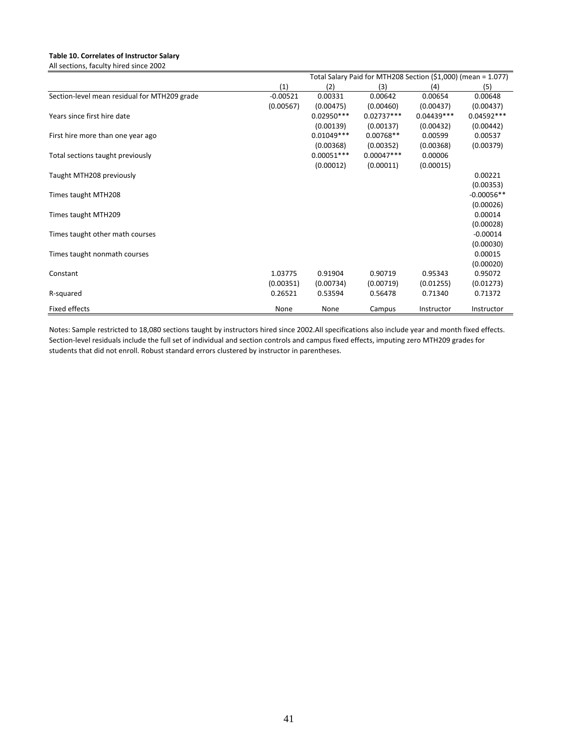#### **Table 10. Correlates of Instructor Salary**

All sections, faculty hired since 2002

|                                              |            |              |              | Total Salary Paid for MTH208 Section (\$1,000) (mean = 1.077) |              |
|----------------------------------------------|------------|--------------|--------------|---------------------------------------------------------------|--------------|
|                                              | (1)        | (2)          | (3)          | (4)                                                           | (5)          |
| Section-level mean residual for MTH209 grade | $-0.00521$ | 0.00331      | 0.00642      | 0.00654                                                       | 0.00648      |
|                                              | (0.00567)  | (0.00475)    | (0.00460)    | (0.00437)                                                     | (0.00437)    |
| Years since first hire date                  |            | $0.02950***$ | $0.02737***$ | $0.04439***$                                                  | $0.04592***$ |
|                                              |            | (0.00139)    | (0.00137)    | (0.00432)                                                     | (0.00442)    |
| First hire more than one year ago            |            | $0.01049***$ | $0.00768**$  | 0.00599                                                       | 0.00537      |
|                                              |            | (0.00368)    | (0.00352)    | (0.00368)                                                     | (0.00379)    |
| Total sections taught previously             |            | $0.00051***$ | $0.00047***$ | 0.00006                                                       |              |
|                                              |            | (0.00012)    | (0.00011)    | (0.00015)                                                     |              |
| Taught MTH208 previously                     |            |              |              |                                                               | 0.00221      |
|                                              |            |              |              |                                                               | (0.00353)    |
| Times taught MTH208                          |            |              |              |                                                               | $-0.00056**$ |
|                                              |            |              |              |                                                               | (0.00026)    |
| Times taught MTH209                          |            |              |              |                                                               | 0.00014      |
|                                              |            |              |              |                                                               | (0.00028)    |
| Times taught other math courses              |            |              |              |                                                               | $-0.00014$   |
|                                              |            |              |              |                                                               | (0.00030)    |
| Times taught nonmath courses                 |            |              |              |                                                               | 0.00015      |
|                                              |            |              |              |                                                               | (0.00020)    |
| Constant                                     | 1.03775    | 0.91904      | 0.90719      | 0.95343                                                       | 0.95072      |
|                                              | (0.00351)  | (0.00734)    | (0.00719)    | (0.01255)                                                     | (0.01273)    |
| R-squared                                    | 0.26521    | 0.53594      | 0.56478      | 0.71340                                                       | 0.71372      |
| <b>Fixed effects</b>                         | None       | None         | Campus       | Instructor                                                    | Instructor   |

Notes: Sample restricted to 18,080 sections taught by instructors hired since 2002.All specifications also include year and month fixed effects. Section‐level residuals include the full set of individual and section controls and campus fixed effects, imputing zero MTH209 grades for students that did not enroll. Robust standard errors clustered by instructor in parentheses.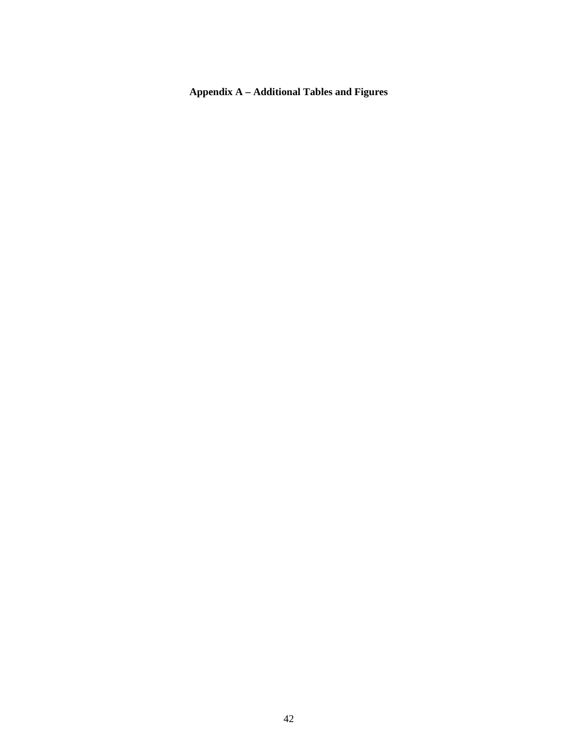# **Appendix A – Additional Tables and Figures**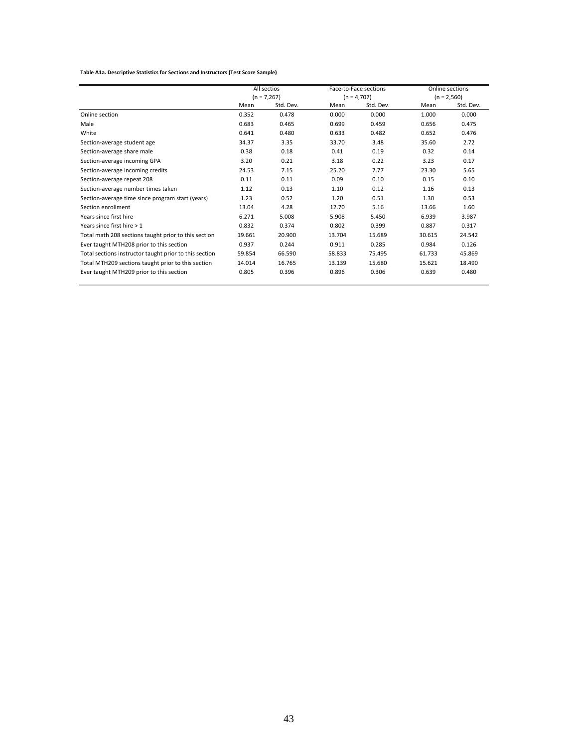**Table A1a. Descriptive Statistics for Sections and Instructors (Test Score Sample)**

|                                                        | All sectios   |           |        | Face-to-Face sections |        | Online sections |  |
|--------------------------------------------------------|---------------|-----------|--------|-----------------------|--------|-----------------|--|
|                                                        | $(n = 7,267)$ |           |        | $(n = 4,707)$         |        | $(n = 2,560)$   |  |
|                                                        | Mean          | Std. Dev. | Mean   | Std. Dev.             | Mean   | Std. Dev.       |  |
| Online section                                         | 0.352         | 0.478     | 0.000  | 0.000                 | 1.000  | 0.000           |  |
| Male                                                   | 0.683         | 0.465     | 0.699  | 0.459                 | 0.656  | 0.475           |  |
| White                                                  | 0.641         | 0.480     | 0.633  | 0.482                 | 0.652  | 0.476           |  |
| Section-average student age                            | 34.37         | 3.35      | 33.70  | 3.48                  | 35.60  | 2.72            |  |
| Section-average share male                             | 0.38          | 0.18      | 0.41   | 0.19                  | 0.32   | 0.14            |  |
| Section-average incoming GPA                           | 3.20          | 0.21      | 3.18   | 0.22                  | 3.23   | 0.17            |  |
| Section-average incoming credits                       | 24.53         | 7.15      | 25.20  | 7.77                  | 23.30  | 5.65            |  |
| Section-average repeat 208                             | 0.11          | 0.11      | 0.09   | 0.10                  | 0.15   | 0.10            |  |
| Section-average number times taken                     | 1.12          | 0.13      | 1.10   | 0.12                  | 1.16   | 0.13            |  |
| Section-average time since program start (years)       | 1.23          | 0.52      | 1.20   | 0.51                  | 1.30   | 0.53            |  |
| Section enrollment                                     | 13.04         | 4.28      | 12.70  | 5.16                  | 13.66  | 1.60            |  |
| Years since first hire                                 | 6.271         | 5.008     | 5.908  | 5.450                 | 6.939  | 3.987           |  |
| Years since first hire $> 1$                           | 0.832         | 0.374     | 0.802  | 0.399                 | 0.887  | 0.317           |  |
| Total math 208 sections taught prior to this section   | 19.661        | 20.900    | 13.704 | 15.689                | 30.615 | 24.542          |  |
| Ever taught MTH208 prior to this section               | 0.937         | 0.244     | 0.911  | 0.285                 | 0.984  | 0.126           |  |
| Total sections instructor taught prior to this section | 59.854        | 66.590    | 58.833 | 75.495                | 61.733 | 45.869          |  |
| Total MTH209 sections taught prior to this section     | 14.014        | 16.765    | 13.139 | 15.680                | 15.621 | 18.490          |  |
| Ever taught MTH209 prior to this section               | 0.805         | 0.396     | 0.896  | 0.306                 | 0.639  | 0.480           |  |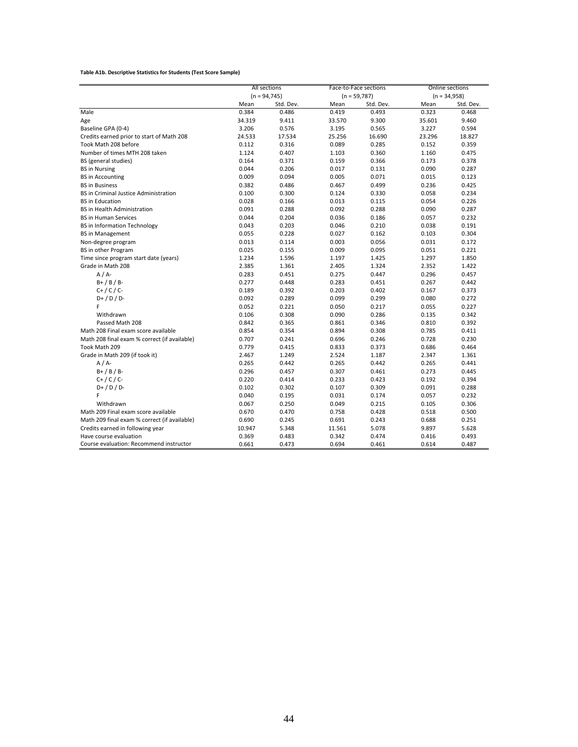#### **Table A1b. Descriptive Statistics for Students (Test Score Sample)**

|                                              | All sections    |           |        | Face-to-Face sections |        | Online sections |  |
|----------------------------------------------|-----------------|-----------|--------|-----------------------|--------|-----------------|--|
|                                              | $(n = 94, 745)$ |           |        | $(n = 59, 787)$       |        | $(n = 34,958)$  |  |
|                                              | Mean            | Std. Dev. | Mean   | Std. Dev.             | Mean   | Std. Dev.       |  |
| Male                                         | 0.384           | 0.486     | 0.419  | 0.493                 | 0.323  | 0.468           |  |
| Age                                          | 34.319          | 9.411     | 33.570 | 9.300                 | 35.601 | 9.460           |  |
| Baseline GPA (0-4)                           | 3.206           | 0.576     | 3.195  | 0.565                 | 3.227  | 0.594           |  |
| Credits earned prior to start of Math 208    | 24.533          | 17.534    | 25.256 | 16.690                | 23.296 | 18.827          |  |
| Took Math 208 before                         | 0.112           | 0.316     | 0.089  | 0.285                 | 0.152  | 0.359           |  |
| Number of times MTH 208 taken                | 1.124           | 0.407     | 1.103  | 0.360                 | 1.160  | 0.475           |  |
| BS (general studies)                         | 0.164           | 0.371     | 0.159  | 0.366                 | 0.173  | 0.378           |  |
| <b>BS</b> in Nursing                         | 0.044           | 0.206     | 0.017  | 0.131                 | 0.090  | 0.287           |  |
| <b>BS</b> in Accounting                      | 0.009           | 0.094     | 0.005  | 0.071                 | 0.015  | 0.123           |  |
| <b>BS</b> in Business                        | 0.382           | 0.486     | 0.467  | 0.499                 | 0.236  | 0.425           |  |
| <b>BS in Criminal Justice Administration</b> | 0.100           | 0.300     | 0.124  | 0.330                 | 0.058  | 0.234           |  |
| <b>BS</b> in Education                       | 0.028           | 0.166     | 0.013  | 0.115                 | 0.054  | 0.226           |  |
| <b>BS</b> in Health Administration           | 0.091           | 0.288     | 0.092  | 0.288                 | 0.090  | 0.287           |  |
| <b>BS in Human Services</b>                  | 0.044           | 0.204     | 0.036  | 0.186                 | 0.057  | 0.232           |  |
| <b>BS in Information Technology</b>          | 0.043           | 0.203     | 0.046  | 0.210                 | 0.038  | 0.191           |  |
| <b>BS</b> in Management                      | 0.055           | 0.228     | 0.027  | 0.162                 | 0.103  | 0.304           |  |
| Non-degree program                           | 0.013           | 0.114     | 0.003  | 0.056                 | 0.031  | 0.172           |  |
| <b>BS</b> in other Program                   | 0.025           | 0.155     | 0.009  | 0.095                 | 0.051  | 0.221           |  |
| Time since program start date (years)        | 1.234           | 1.596     | 1.197  | 1.425                 | 1.297  | 1.850           |  |
| Grade in Math 208                            | 2.385           | 1.361     | 2.405  | 1.324                 | 2.352  | 1.422           |  |
| $A/A$ -                                      | 0.283           | 0.451     | 0.275  | 0.447                 | 0.296  | 0.457           |  |
| $B+$ / B / B-                                | 0.277           | 0.448     | 0.283  | 0.451                 | 0.267  | 0.442           |  |
| $C+$ / $C$ / $C-$                            | 0.189           | 0.392     | 0.203  | 0.402                 | 0.167  | 0.373           |  |
| $D+$ / $D$ / $D-$                            | 0.092           | 0.289     | 0.099  | 0.299                 | 0.080  | 0.272           |  |
| F                                            | 0.052           | 0.221     | 0.050  | 0.217                 | 0.055  | 0.227           |  |
| Withdrawn                                    | 0.106           | 0.308     | 0.090  | 0.286                 | 0.135  | 0.342           |  |
| Passed Math 208                              | 0.842           | 0.365     | 0.861  | 0.346                 | 0.810  | 0.392           |  |
| Math 208 Final exam score available          | 0.854           | 0.354     | 0.894  | 0.308                 | 0.785  | 0.411           |  |
| Math 208 final exam % correct (if available) | 0.707           | 0.241     | 0.696  | 0.246                 | 0.728  | 0.230           |  |
| Took Math 209                                | 0.779           | 0.415     | 0.833  | 0.373                 | 0.686  | 0.464           |  |
| Grade in Math 209 (if took it)               | 2.467           | 1.249     | 2.524  | 1.187                 | 2.347  | 1.361           |  |
| $A/A$ -                                      | 0.265           | 0.442     | 0.265  | 0.442                 | 0.265  | 0.441           |  |
| $B+$ / $B$ / $B-$                            | 0.296           | 0.457     | 0.307  | 0.461                 | 0.273  | 0.445           |  |
| $C+$ / $C$ / $C-$                            | 0.220           | 0.414     | 0.233  | 0.423                 | 0.192  | 0.394           |  |
| $D+/D/D-$                                    | 0.102           | 0.302     | 0.107  | 0.309                 | 0.091  | 0.288           |  |
| F                                            | 0.040           | 0.195     | 0.031  | 0.174                 | 0.057  | 0.232           |  |
| Withdrawn                                    | 0.067           | 0.250     | 0.049  | 0.215                 | 0.105  | 0.306           |  |
| Math 209 Final exam score available          | 0.670           | 0.470     | 0.758  | 0.428                 | 0.518  | 0.500           |  |
| Math 209 final exam % correct (if available) | 0.690           | 0.245     | 0.691  | 0.243                 | 0.688  | 0.251           |  |
| Credits earned in following year             | 10.947          | 5.348     | 11.561 | 5.078                 | 9.897  | 5.628           |  |
| Have course evaluation                       | 0.369           | 0.483     | 0.342  | 0.474                 | 0.416  | 0.493           |  |
| Course evaluation: Recommend instructor      | 0.661           | 0.473     | 0.694  | 0.461                 | 0.614  | 0.487           |  |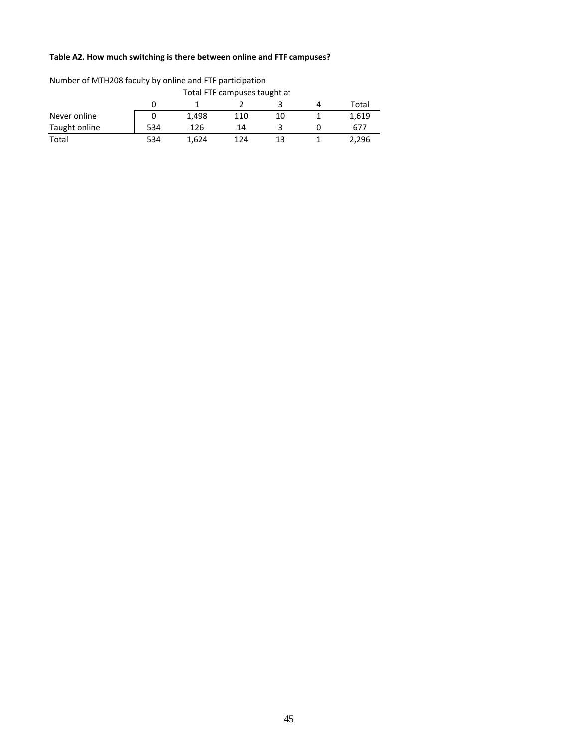# **Table A2. How much switching is there between online and FTF campuses?**

|               | Total FTF campuses taught at |       |     |    |   |       |  |
|---------------|------------------------------|-------|-----|----|---|-------|--|
|               |                              |       |     |    | Δ | Total |  |
| Never online  |                              | 1.498 | 110 | 10 |   | 1,619 |  |
| Taught online | 534                          | 126   | 14  |    |   | 677   |  |
| Total         | 534                          | 1.624 | 124 | 13 |   | 2.296 |  |

Number of MTH208 faculty by online and FTF participation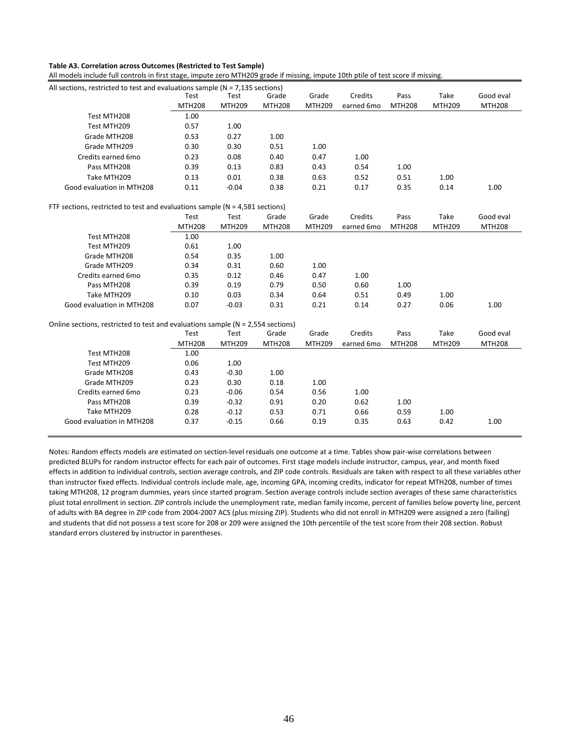#### **Table A3. Correlation across Outcomes (Restricted to Test Sample)**

All models include full controls in first stage, impute zero MTH209 grade if missing, impute 10th ptile of test score if missing.

| All sections, restricted to test and evaluations sample ( $N = 7,135$ sections)    |               |               |               |               |            |               |               |               |  |
|------------------------------------------------------------------------------------|---------------|---------------|---------------|---------------|------------|---------------|---------------|---------------|--|
|                                                                                    | Test          | Test          | Grade         | Grade         | Credits    | Pass          | Take          | Good eval     |  |
|                                                                                    | <b>MTH208</b> | <b>MTH209</b> | <b>MTH208</b> | <b>MTH209</b> | earned 6mo | <b>MTH208</b> | MTH209        | <b>MTH208</b> |  |
| Test MTH208                                                                        | 1.00          |               |               |               |            |               |               |               |  |
| Test MTH209                                                                        | 0.57          | 1.00          |               |               |            |               |               |               |  |
| Grade MTH208                                                                       | 0.53          | 0.27          | 1.00          |               |            |               |               |               |  |
| Grade MTH209                                                                       | 0.30          | 0.30          | 0.51          | 1.00          |            |               |               |               |  |
| Credits earned 6mo                                                                 | 0.23          | 0.08          | 0.40          | 0.47          | 1.00       |               |               |               |  |
| Pass MTH208                                                                        | 0.39          | 0.13          | 0.83          | 0.43          | 0.54       | 1.00          |               |               |  |
| Take MTH209                                                                        | 0.13          | 0.01          | 0.38          | 0.63          | 0.52       | 0.51          | 1.00          |               |  |
| Good evaluation in MTH208                                                          | 0.11          | $-0.04$       | 0.38          | 0.21          | 0.17       | 0.35          | 0.14          | 1.00          |  |
| FTF sections, restricted to test and evaluations sample ( $N = 4,581$ sections)    |               |               |               |               |            |               |               |               |  |
|                                                                                    | Test          | Test          | Grade         | Grade         | Credits    | Pass          | Take          | Good eval     |  |
|                                                                                    | <b>MTH208</b> | MTH209        | <b>MTH208</b> | MTH209        | earned 6mo | <b>MTH208</b> | <b>MTH209</b> | <b>MTH208</b> |  |
| Test MTH208                                                                        | 1.00          |               |               |               |            |               |               |               |  |
| Test MTH209                                                                        | 0.61          | 1.00          |               |               |            |               |               |               |  |
| Grade MTH208                                                                       | 0.54          | 0.35          | 1.00          |               |            |               |               |               |  |
| Grade MTH209                                                                       | 0.34          | 0.31          | 0.60          | 1.00          |            |               |               |               |  |
| Credits earned 6mo                                                                 | 0.35          | 0.12          | 0.46          | 0.47          | 1.00       |               |               |               |  |
| Pass MTH208                                                                        | 0.39          | 0.19          | 0.79          | 0.50          | 0.60       | 1.00          |               |               |  |
| Take MTH209                                                                        | 0.10          | 0.03          | 0.34          | 0.64          | 0.51       | 0.49          | 1.00          |               |  |
| Good evaluation in MTH208                                                          | 0.07          | $-0.03$       | 0.31          | 0.21          | 0.14       | 0.27          | 0.06          | 1.00          |  |
| Online sections, restricted to test and evaluations sample ( $N = 2,554$ sections) |               |               |               |               |            |               |               |               |  |
|                                                                                    | Test          | Test          | Grade         | Grade         | Credits    | Pass          | Take          | Good eval     |  |
|                                                                                    | <b>MTH208</b> | <b>MTH209</b> | <b>MTH208</b> | MTH209        | earned 6mo | <b>MTH208</b> | <b>MTH209</b> | <b>MTH208</b> |  |
| Test MTH208                                                                        | 1.00          |               |               |               |            |               |               |               |  |
| Test MTH209                                                                        | 0.06          | 1.00          |               |               |            |               |               |               |  |
| Grade MTH208                                                                       | 0.43          | $-0.30$       | 1.00          |               |            |               |               |               |  |
| Grade MTH209                                                                       | 0.23          | 0.30          | 0.18          | 1.00          |            |               |               |               |  |
| Credits earned 6mo                                                                 | 0.23          | $-0.06$       | 0.54          | 0.56          | 1.00       |               |               |               |  |
| Pass MTH208                                                                        | 0.39          | $-0.32$       | 0.91          | 0.20          | 0.62       | 1.00          |               |               |  |
| Take MTH209                                                                        | 0.28          | $-0.12$       | 0.53          | 0.71          | 0.66       | 0.59          | 1.00          |               |  |
| Good evaluation in MTH208                                                          | 0.37          | $-0.15$       | 0.66          | 0.19          | 0.35       | 0.63          | 0.42          | 1.00          |  |

Notes: Random effects models are estimated on section‐level residuals one outcome at a time. Tables show pair‐wise correlations between predicted BLUPs for random instructor effects for each pair of outcomes. First stage models include instructor, campus, year, and month fixed effects in addition to individual controls, section average controls, and ZIP code controls. Residuals are taken with respect to all these variables other than instructor fixed effects. Individual controls include male, age, incoming GPA, incoming credits, indicator for repeat MTH208, number of times taking MTH208, 12 program dummies, years since started program. Section average controls include section averages of these same characteristics plust total enrollment in section. ZIP controls include the unemployment rate, median family income, percent of families below poverty line, percent of adults with BA degree in ZIP code from 2004‐2007 ACS (plus missing ZIP). Students who did not enroll in MTH209 were assigned a zero (failing) and students that did not possess a test score for 208 or 209 were assigned the 10th percentile of the test score from their 208 section. Robust standard errors clustered by instructor in parentheses.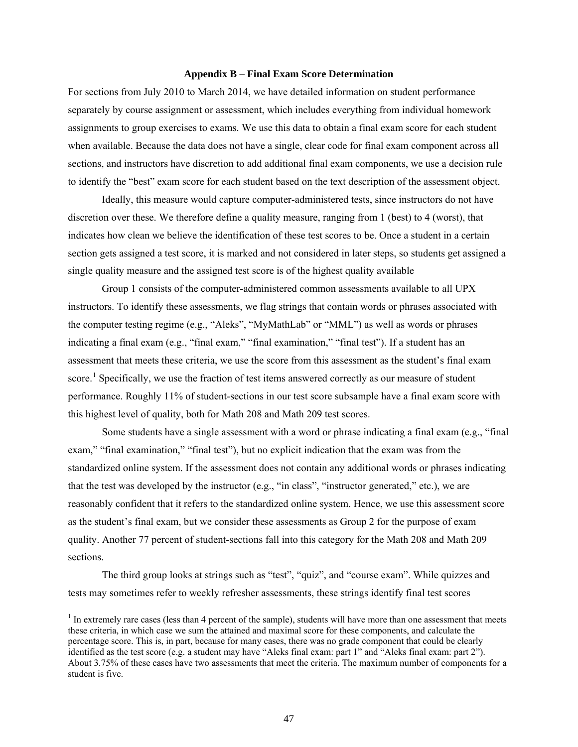#### **Appendix B – Final Exam Score Determination**

For sections from July 2010 to March 2014, we have detailed information on student performance separately by course assignment or assessment, which includes everything from individual homework assignments to group exercises to exams. We use this data to obtain a final exam score for each student when available. Because the data does not have a single, clear code for final exam component across all sections, and instructors have discretion to add additional final exam components, we use a decision rule to identify the "best" exam score for each student based on the text description of the assessment object.

Ideally, this measure would capture computer-administered tests, since instructors do not have discretion over these. We therefore define a quality measure, ranging from 1 (best) to 4 (worst), that indicates how clean we believe the identification of these test scores to be. Once a student in a certain section gets assigned a test score, it is marked and not considered in later steps, so students get assigned a single quality measure and the assigned test score is of the highest quality available

Group 1 consists of the computer-administered common assessments available to all UPX instructors. To identify these assessments, we flag strings that contain words or phrases associated with the computer testing regime (e.g., "Aleks", "MyMathLab" or "MML") as well as words or phrases indicating a final exam (e.g., "final exam," "final examination," "final test"). If a student has an assessment that meets these criteria, we use the score from this assessment as the student's final exam score.<sup>[1](#page-47-0)</sup> Specifically, we use the fraction of test items answered correctly as our measure of student performance. Roughly 11% of student-sections in our test score subsample have a final exam score with this highest level of quality, both for Math 208 and Math 209 test scores.

Some students have a single assessment with a word or phrase indicating a final exam (e.g., "final exam," "final examination," "final test"), but no explicit indication that the exam was from the standardized online system. If the assessment does not contain any additional words or phrases indicating that the test was developed by the instructor (e.g., "in class", "instructor generated," etc.), we are reasonably confident that it refers to the standardized online system. Hence, we use this assessment score as the student's final exam, but we consider these assessments as Group 2 for the purpose of exam quality. Another 77 percent of student-sections fall into this category for the Math 208 and Math 209 sections.

The third group looks at strings such as "test", "quiz", and "course exam". While quizzes and tests may sometimes refer to weekly refresher assessments, these strings identify final test scores

<span id="page-47-0"></span> $<sup>1</sup>$  In extremely rare cases (less than 4 percent of the sample), students will have more than one assessment that meets</sup> these criteria, in which case we sum the attained and maximal score for these components, and calculate the percentage score. This is, in part, because for many cases, there was no grade component that could be clearly identified as the test score (e.g. a student may have "Aleks final exam: part 1" and "Aleks final exam: part 2"). About 3.75% of these cases have two assessments that meet the criteria. The maximum number of components for a student is five.